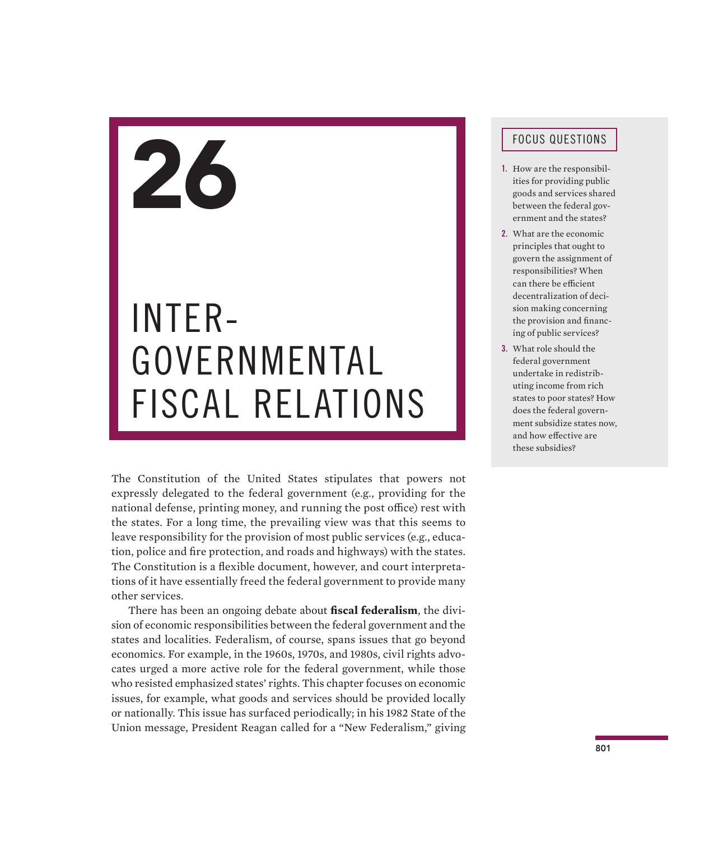# INTER-GOVERNMENTAL FISCAL RELATIONS

The Constitution of the United States stipulates that powers not expressly delegated to the federal government (e.g., providing for the national defense, printing money, and running the post office) rest with the states. For a long time, the prevailing view was that this seems to leave responsibility for the provision of most public services (e.g., education, police and fire protection, and roads and highways) with the states. The Constitution is a flexible document, however, and court interpretations of it have essentially freed the federal government to provide many other services.

There has been an ongoing debate about **fiscal federalism**, the division of economic responsibilities between the federal government and the states and localities. Federalism, of course, spans issues that go beyond economics. For example, in the 1960s, 1970s, and 1980s, civil rights advocates urged a more active role for the federal government, while those who resisted emphasized states' rights. This chapter focuses on economic issues, for example, what goods and services should be provided locally or nationally. This issue has surfaced periodically; in his 1982 State of the Union message, President Reagan called for a "New Federalism," giving

## FOCUS QUESTIONS

- **26 1. How are the responsibilities for providing public goods and services share** ities for providing public goods and services shared between the federal government and the states?
	- 2. What are the economic principles that ought to govern the assignment of responsibilities? When can there be efficient decentralization of decision making concerning the provision and financing of public services?
	- 3. What role should the federal government undertake in redistributing income from rich states to poor states? How does the federal government subsidize states now, and how effective are these subsidies?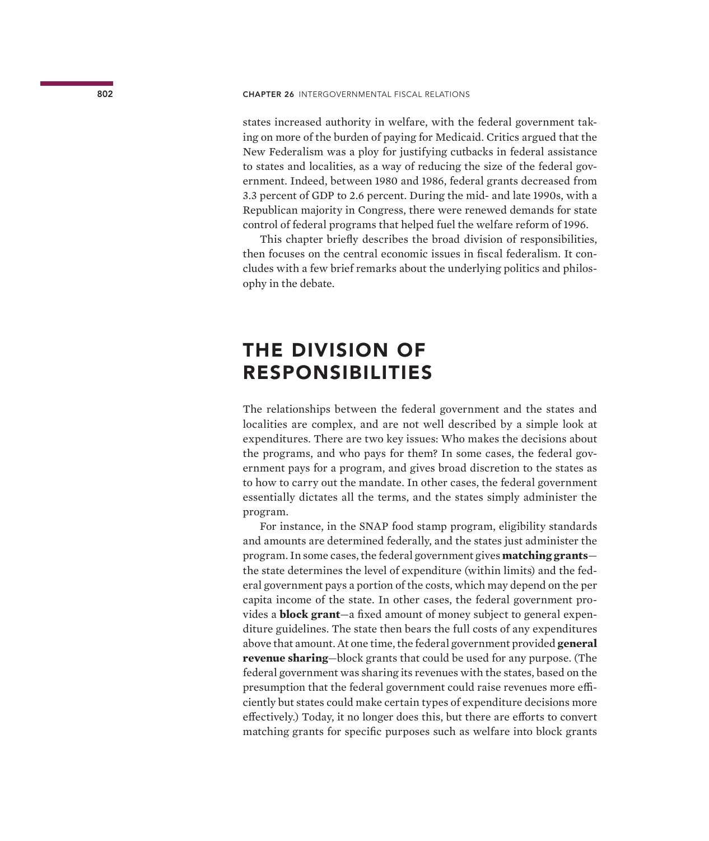states increased authority in welfare, with the federal government taking on more of the burden of paying for Medicaid. Critics argued that the New Federalism was a ploy for justifying cutbacks in federal assistance to states and localities, as a way of reducing the size of the federal government. Indeed, between 1980 and 1986, federal grants decreased from 3.3 percent of GDP to 2.6 percent. During the mid- and late 1990s, with a Republican majority in Congress, there were renewed demands for state control of federal programs that helped fuel the welfare reform of 1996.

This chapter briefly describes the broad division of responsibilities, then focuses on the central economic issues in fiscal federalism. It concludes with a few brief remarks about the underlying politics and philosophy in the debate.

# **THE DIVISION OF RESPONSIBILITIES**

The relationships between the federal government and the states and localities are complex, and are not well described by a simple look at expenditures. There are two key issues: Who makes the decisions about the programs, and who pays for them? In some cases, the federal government pays for a program, and gives broad discretion to the states as to how to carry out the mandate. In other cases, the federal government essentially dictates all the terms, and the states simply administer the program.

For instance, in the SNAP food stamp program, eligibility standards and amounts are determined federally, and the states just administer the program. In some cases, the federal government gives **matching grants** the state determines the level of expenditure (within limits) and the federal government pays a portion of the costs, which may depend on the per capita income of the state. In other cases, the federal government provides a **block grant**—a fixed amount of money subject to general expenditure guidelines. The state then bears the full costs of any expenditures above that amount. At one time, the federal government provided **general revenue sharing**—block grants that could be used for any purpose. (The federal government was sharing its revenues with the states, based on the presumption that the federal government could raise revenues more efficiently but states could make certain types of expenditure decisions more effectively.) Today, it no longer does this, but there are efforts to convert matching grants for specific purposes such as welfare into block grants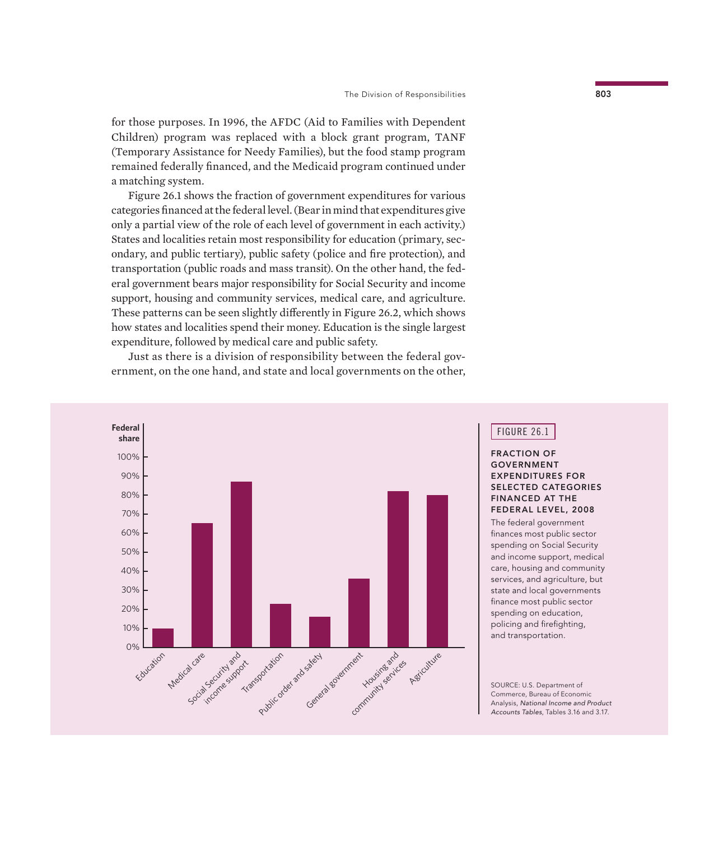for those purposes. In 1996, the AFDC (Aid to Families with Dependent Children) program was replaced with a block grant program, TANF (Temporary Assistance for Needy Families), but the food stamp program remained federally financed, and the Medicaid program continued under a matching system.

Figure 26.1 shows the fraction of government expenditures for various categories financed at the federal level. (Bear in mind that expenditures give only a partial view of the role of each level of government in each activity.) States and localities retain most responsibility for education (primary, secondary, and public tertiary), public safety (police and fire protection), and transportation (public roads and mass transit). On the other hand, the federal government bears major responsibility for Social Security and income support, housing and community services, medical care, and agriculture. These patterns can be seen slightly differently in Figure 26.2, which shows how states and localities spend their money. Education is the single largest expenditure, followed by medical care and public safety.

Just as there is a division of responsibility between the federal government, on the one hand, and state and local governments on the other,



#### FIGURE 26.1

#### **FRACTION OF GOVERNMENT EXPENDITURES FOR SELECTED CATEGORIES FINANCED AT THE FEDERAL LEVEL, 2008**

The federal government finances most public sector spending on Social Security and income support, medical care, housing and community services, and agriculture, but state and local governments finance most public sector spending on education, policing and firefighting, and transportation.

SOURCE: U.S. Department of Commerce, Bureau of Economic Analysis, National Income and Product Accounts Tables, Tables 3.16 and 3.17.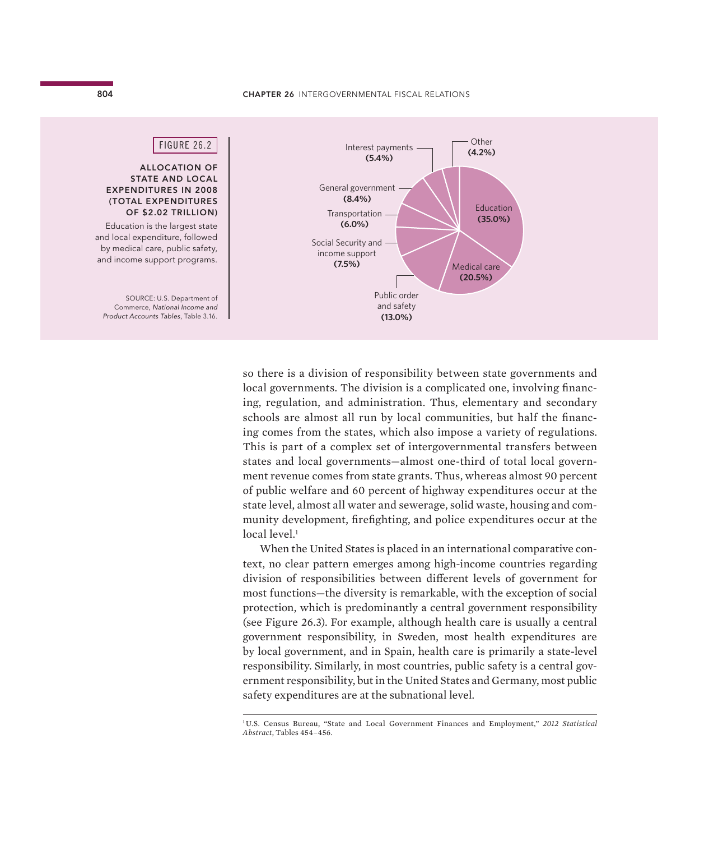

so there is a division of responsibility between state governments and local governments. The division is a complicated one, involving financing, regulation, and administration. Thus, elementary and secondary schools are almost all run by local communities, but half the financing comes from the states, which also impose a variety of regulations. This is part of a complex set of intergovernmental transfers between states and local governments—almost one-third of total local government revenue comes from state grants. Thus, whereas almost 90 percent of public welfare and 60 percent of highway expenditures occur at the state level, almost all water and sewerage, solid waste, housing and community development, firefighting, and police expenditures occur at the local level.<sup>1</sup>

When the United States is placed in an international comparative context, no clear pattern emerges among high-income countries regarding division of responsibilities between different levels of government for most functions—the diversity is remarkable, with the exception of social protection, which is predominantly a central government responsibility (see Figure 26.3). For example, although health care is usually a central government responsibility, in Sweden, most health expenditures are by local government, and in Spain, health care is primarily a state-level responsibility. Similarly, in most countries, public safety is a central government responsibility, but in the United States and Germany, most public safety expenditures are at the subnational level.

1 U.S. Census Bureau, "State and Local Government Finances and Employment," *2012 Statistical Abstract*, Tables 454–456.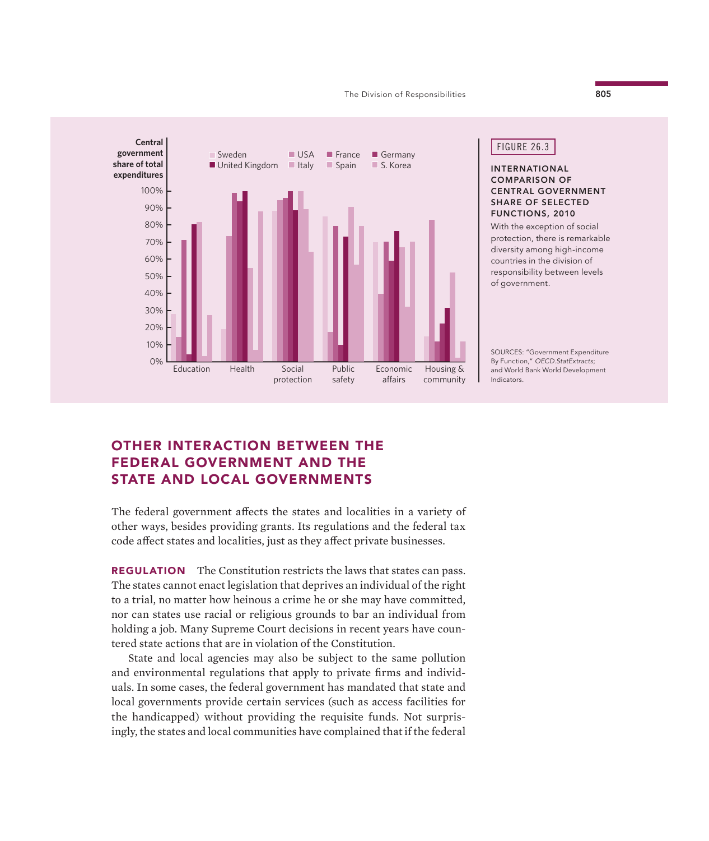

#### FIGURE 26.3

#### **INTERNATIONAL COMPARISON OF CENTRAL GOVERNMENT SHARE OF SELECTED FUNCTIONS, 2010**

With the exception of social protection, there is remarkable diversity among high-income countries in the division of responsibility between levels of government.

SOURCES: "Government Expenditure By Function," OECD.StatExtracts; and World Bank World Development Indicators.

## **OTHER INTERACTION BETWEEN THE FEDERAL GOVERNMENT AND THE STATE AND LOCAL GOVERNMENTS**

The federal government affects the states and localities in a variety of other ways, besides providing grants. Its regulations and the federal tax code affect states and localities, just as they affect private businesses.

**REGULATION** The Constitution restricts the laws that states can pass. The states cannot enact legislation that deprives an individual of the right to a trial, no matter how heinous a crime he or she may have committed, nor can states use racial or religious grounds to bar an individual from holding a job. Many Supreme Court decisions in recent years have countered state actions that are in violation of the Constitution.

State and local agencies may also be subject to the same pollution and environmental regulations that apply to private firms and individuals. In some cases, the federal government has mandated that state and local governments provide certain services (such as access facilities for the handicapped) without providing the requisite funds. Not surprisingly, the states and local communities have complained that if the federal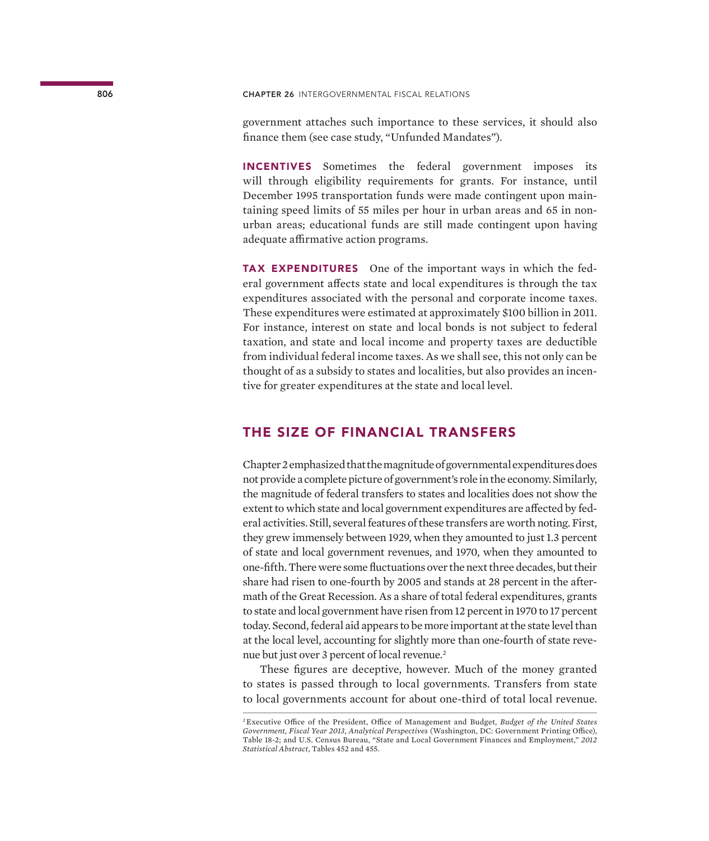government attaches such importance to these services, it should also finance them (see case study, "Unfunded Mandates").

**INCENTIVES** Sometimes the federal government imposes its will through eligibility requirements for grants. For instance, until December 1995 transportation funds were made contingent upon maintaining speed limits of 55 miles per hour in urban areas and 65 in nonurban areas; educational funds are still made contingent upon having adequate affirmative action programs.

**TAX EXPENDITURES** One of the important ways in which the federal government affects state and local expenditures is through the tax expenditures associated with the personal and corporate income taxes. These expenditures were estimated at approximately \$100 billion in 2011. For instance, interest on state and local bonds is not subject to federal taxation, and state and local income and property taxes are deductible from individual federal income taxes. As we shall see, this not only can be thought of as a subsidy to states and localities, but also provides an incentive for greater expenditures at the state and local level.

## **THE SIZE OF FINANCIAL TRANSFERS**

Chapter 2 emphasized that the magnitude of governmental expenditures does not provide a complete picture of government's role in the economy. Similarly, the magnitude of federal transfers to states and localities does not show the extent to which state and local government expenditures are affected by federal activities. Still, several features of these transfers are worth noting. First, they grew immensely between 1929, when they amounted to just 1.3 percent of state and local government revenues, and 1970, when they amounted to one-fifth. There were some fluctuations over the next three decades, but their share had risen to one-fourth by 2005 and stands at 28 percent in the aftermath of the Great Recession. As a share of total federal expenditures, grants to state and local government have risen from 12 percent in 1970 to 17 percent today. Second, federal aid appears to be more important at the state level than at the local level, accounting for slightly more than one-fourth of state revenue but just over 3 percent of local revenue.<sup>2</sup>

These figures are deceptive, however. Much of the money granted to states is passed through to local governments. Transfers from state to local governments account for about one-third of total local revenue.

<sup>&</sup>lt;sup>2</sup> Executive Office of the President, Office of Management and Budget, *Budget of the United States Government, Fiscal Year 2013, Analytical Perspectives* (Washington, DC: Government Printing Office), Table 18-2; and U.S. Census Bureau, "State and Local Government Finances and Employment," *2012 Statistical Abstract*, Tables 452 and 455.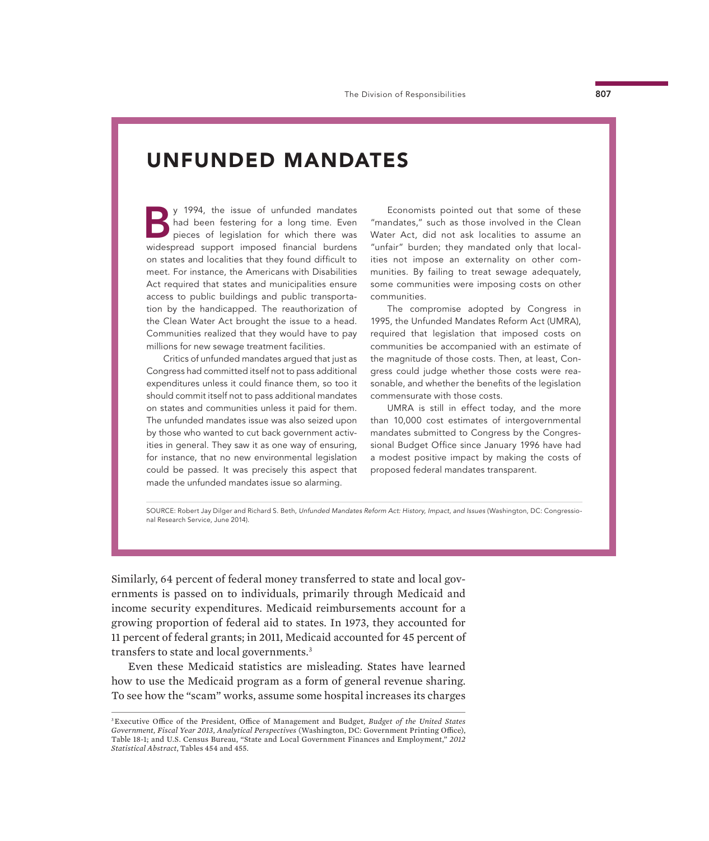# **UNFUNDED MANDATES**

y 1994, the issue of unfunded mandates<br>had been festering for a long time. Even<br>pieces of legislation for which there was<br>widespread support imposed financial burdens had been festering for a long time. Even pieces of legislation for which there was widespread support imposed financial burdens on states and localities that they found difficult to meet. For instance, the Americans with Disabilities Act required that states and municipalities ensure access to public buildings and public transportation by the handicapped. The reauthorization of the Clean Water Act brought the issue to a head. Communities realized that they would have to pay millions for new sewage treatment facilities.

Critics of unfunded mandates argued that just as Congress had committed itself not to pass additional expenditures unless it could finance them, so too it should commit itself not to pass additional mandates on states and communities unless it paid for them. The unfunded mandates issue was also seized upon by those who wanted to cut back government activities in general. They saw it as one way of ensuring, for instance, that no new environmental legislation could be passed. It was precisely this aspect that made the unfunded mandates issue so alarming.

Economists pointed out that some of these "mandates," such as those involved in the Clean Water Act, did not ask localities to assume an "unfair" burden; they mandated only that localities not impose an externality on other communities. By failing to treat sewage adequately, some communities were imposing costs on other communities.

The compromise adopted by Congress in 1995, the Unfunded Mandates Reform Act (UMRA), required that legislation that imposed costs on communities be accompanied with an estimate of the magnitude of those costs. Then, at least, Congress could judge whether those costs were reasonable, and whether the benefits of the legislation commensurate with those costs.

UMRA is still in effect today, and the more than 10,000 cost estimates of intergovernmental mandates submitted to Congress by the Congressional Budget Office since January 1996 have had a modest positive impact by making the costs of proposed federal mandates transparent.

SOURCE: Robert Jay Dilger and Richard S. Beth, Unfunded Mandates Reform Act: History, Impact, and Issues (Washington, DC: Congressional Research Service, June 2014).

Similarly, 64 percent of federal money transferred to state and local governments is passed on to individuals, primarily through Medicaid and income security expenditures. Medicaid reimbursements account for a growing proportion of federal aid to states. In 1973, they accounted for 11 percent of federal grants; in 2011, Medicaid accounted for 45 percent of transfers to state and local governments.<sup>3</sup>

Even these Medicaid statistics are misleading. States have learned how to use the Medicaid program as a form of general revenue sharing. To see how the "scam" works, assume some hospital increases its charges

<sup>&</sup>lt;sup>3</sup> Executive Office of the President, Office of Management and Budget, *Budget of the United States Government, Fiscal Year 2013, Analytical Perspectives* (Washington, DC: Government Printing Office), Table 18-1; and U.S. Census Bureau, "State and Local Government Finances and Employment," *2012 Statistical Abstract*, Tables 454 and 455.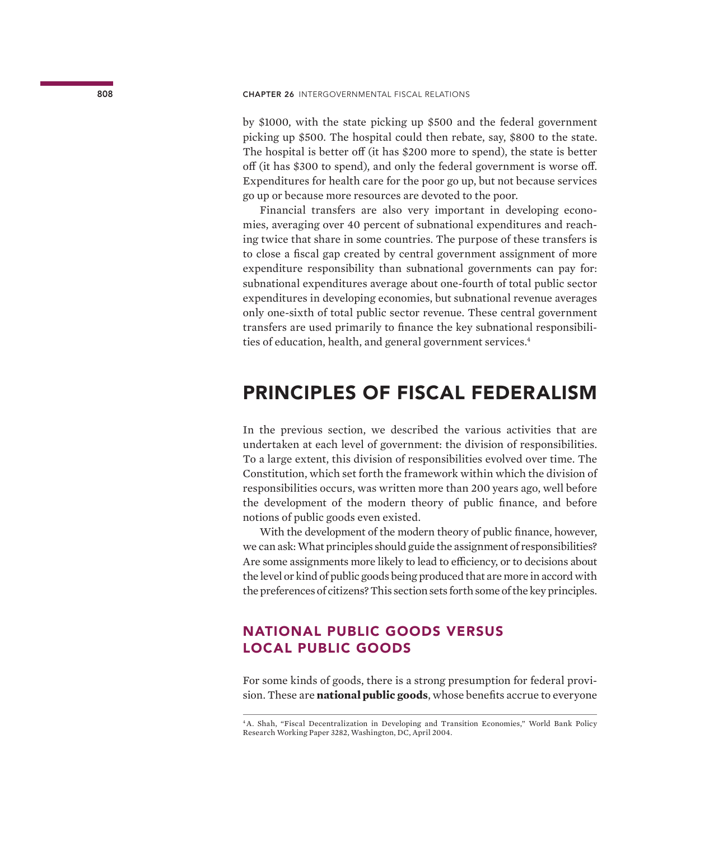by \$1000, with the state picking up \$500 and the federal government picking up \$500. The hospital could then rebate, say, \$800 to the state. The hospital is better off (it has \$200 more to spend), the state is better off (it has \$300 to spend), and only the federal government is worse off . Expenditures for health care for the poor go up, but not because services go up or because more resources are devoted to the poor.

Financial transfers are also very important in developing economies, averaging over 40 percent of subnational expenditures and reaching twice that share in some countries. The purpose of these transfers is to close a fiscal gap created by central government assignment of more expenditure responsibility than subnational governments can pay for: subnational expenditures average about one-fourth of total public sector expenditures in developing economies, but subnational revenue averages only one-sixth of total public sector revenue. These central government transfers are used primarily to finance the key subnational responsibilities of education, health, and general government services.<sup>4</sup>

# **PRINCIPLES OF FISCAL FEDERALISM**

In the previous section, we described the various activities that are undertaken at each level of government: the division of responsibilities. To a large extent, this division of responsibilities evolved over time. The Constitution, which set forth the framework within which the division of responsibilities occurs, was written more than 200 years ago, well before the development of the modern theory of public finance, and before notions of public goods even existed.

With the development of the modern theory of public finance, however, we can ask: What principles should guide the assignment of responsibilities? Are some assignments more likely to lead to efficiency, or to decisions about the level or kind of public goods being produced that are more in accord with the preferences of citizens? This section sets forth some of the key principles.

## **NATIONAL PUBLIC GOODS VERSUS LOCAL PUBLIC GOODS**

For some kinds of goods, there is a strong presumption for federal provision. These are **national public goods**, whose benefits accrue to everyone

<sup>4</sup> A. Shah, "Fiscal Decentralization in Developing and Transition Economies," World Bank Policy Research Working Paper 3282, Washington, DC, April 2004.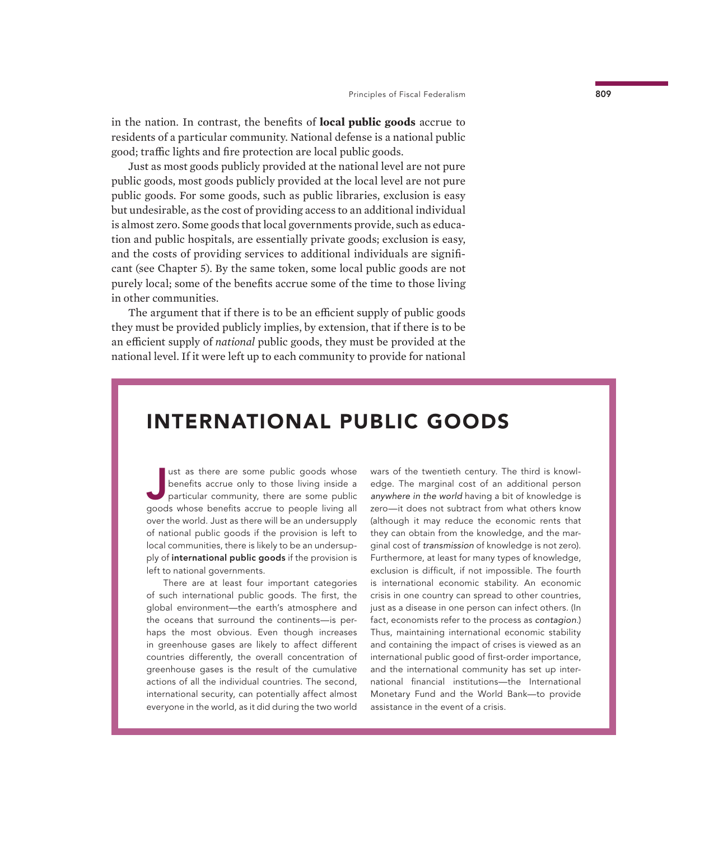in the nation. In contrast, the benefits of **local public goods** accrue to residents of a particular community. National defense is a national public good; traffic lights and fire protection are local public goods.

Just as most goods publicly provided at the national level are not pure public goods, most goods publicly provided at the local level are not pure public goods. For some goods, such as public libraries, exclusion is easy but undesirable, as the cost of providing access to an additional individual is almost zero. Some goods that local governments provide, such as education and public hospitals, are essentially private goods; exclusion is easy, and the costs of providing services to additional individuals are significant (see Chapter 5). By the same token, some local public goods are not purely local; some of the benefits accrue some of the time to those living in other communities.

The argument that if there is to be an efficient supply of public goods they must be provided publicly implies, by extension, that if there is to be an efficient supply of *national* public goods, they must be provided at the national level. If it were left up to each community to provide for national

# **INTERNATIONAL PUBLIC GOODS**

ust as there are some public goods whose<br>
benefits accrue only to those living inside a<br>
particular community, there are some public<br>
goods whose benefits accrue to people living all ust as there are some public goods whose benefits accrue only to those living inside a particular community, there are some public over the world. Just as there will be an undersupply of national public goods if the provision is left to local communities, there is likely to be an undersupply of **international public goods** if the provision is left to national governments.

There are at least four important categories of such international public goods. The first, the global environment—the earth's atmosphere and the oceans that surround the continents—is perhaps the most obvious. Even though increases in greenhouse gases are likely to affect different countries differently, the overall concentration of greenhouse gases is the result of the cumulative actions of all the individual countries. The second, international security, can potentially affect almost everyone in the world, as it did during the two world

wars of the twentieth century. The third is knowledge. The marginal cost of an additional person anywhere in the world having a bit of knowledge is zero—it does not subtract from what others know (although it may reduce the economic rents that they can obtain from the knowledge, and the marginal cost of transmission of knowledge is not zero). Furthermore, at least for many types of knowledge, exclusion is difficult, if not impossible. The fourth is international economic stability. An economic crisis in one country can spread to other countries, just as a disease in one person can infect others. (In fact, economists refer to the process as contagion.) Thus, maintaining international economic stability and containing the impact of crises is viewed as an international public good of first-order importance, and the international community has set up international financial institutions—the International Monetary Fund and the World Bank—to provide assistance in the event of a crisis.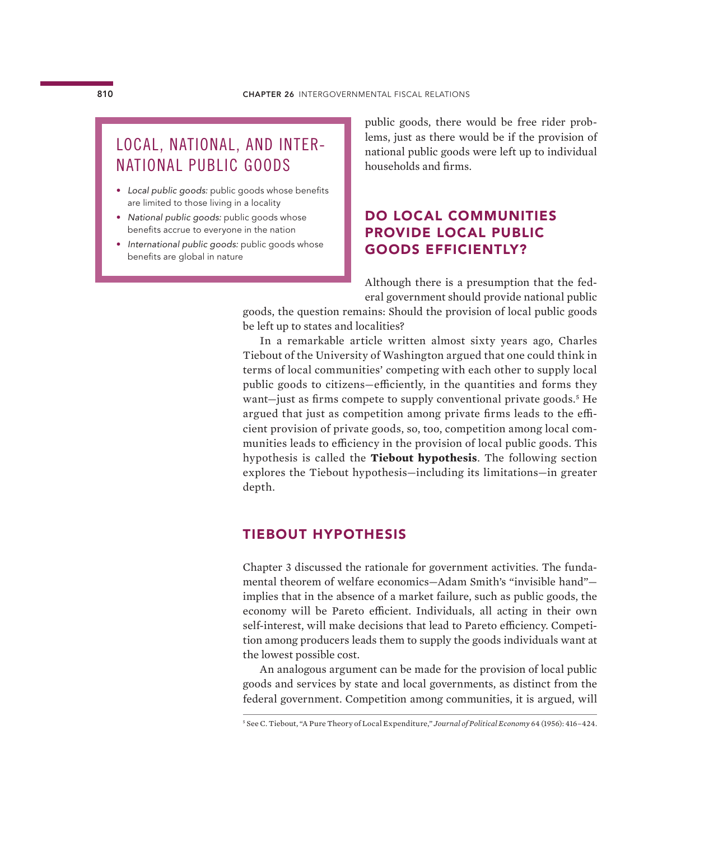# LOCAL, NATIONAL, AND INTER-NATIONAL PUBLIC GOODS

- Local public goods: public goods whose benefits are limited to those living in a locality
- National public goods: public goods whose benefits accrue to everyone in the nation
- International public goods: public goods whose benefits are global in nature

public goods, there would be free rider problems, just as there would be if the provision of national public goods were left up to individual households and firms.

## **DO LOCAL COMMUNITIES PROVIDE LOCAL PUBLIC GOODS EFFICIENTLY?**

Although there is a presumption that the federal government should provide national public

goods, the question remains: Should the provision of local public goods be left up to states and localities?

In a remarkable article written almost sixty years ago, Charles Tiebout of the University of Washington argued that one could think in terms of local communities' competing with each other to supply local public goods to citizens—efficiently, in the quantities and forms they want—just as firms compete to supply conventional private goods.<sup>5</sup> He argued that just as competition among private firms leads to the efficient provision of private goods, so, too, competition among local communities leads to efficiency in the provision of local public goods. This hypothesis is called the **Tiebout hypothesis**. The following section explores the Tiebout hypothesis—including its limitations—in greater depth.

### **TIEBOUT HYPOTHESIS**

Chapter 3 discussed the rationale for government activities. The fundamental theorem of welfare economics—Adam Smith's "invisible hand" implies that in the absence of a market failure, such as public goods, the economy will be Pareto efficient. Individuals, all acting in their own self-interest, will make decisions that lead to Pareto efficiency. Competition among producers leads them to supply the goods individuals want at the lowest possible cost.

An analogous argument can be made for the provision of local public goods and services by state and local governments, as distinct from the federal government. Competition among communities, it is argued, will

<sup>5</sup> See C. Tiebout, "A Pure Theory of Local Expenditure," *Journal of Political Economy* 64 (1956): 416–424.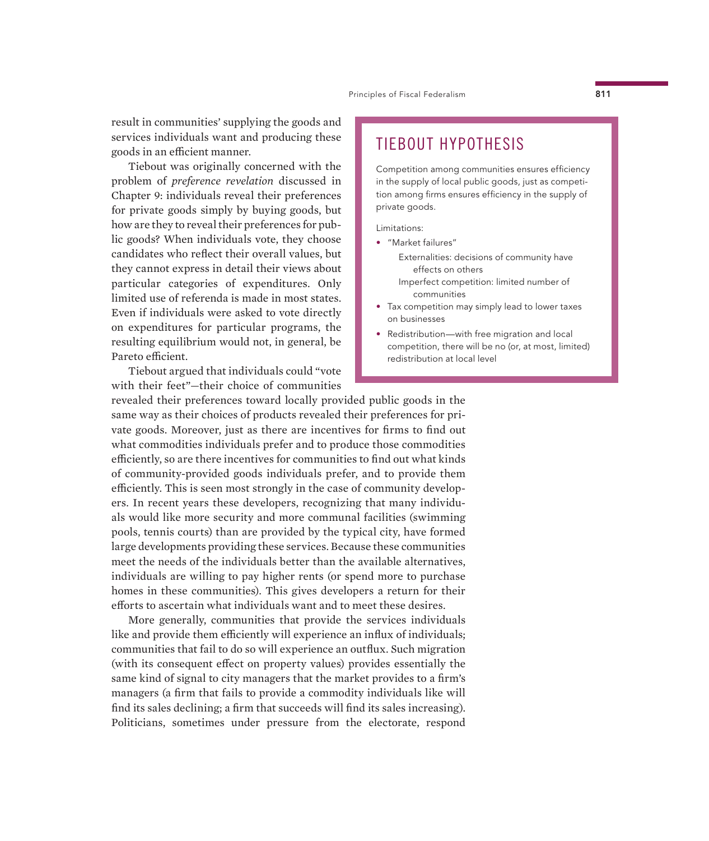result in communities' supplying the goods and services individuals want and producing these goods in an efficient manner.

Tiebout was originally concerned with the problem of *preference revelation* discussed in Chapter 9: individuals reveal their preferences for private goods simply by buying goods, but how are they to reveal their preferences for public goods? When individuals vote, they choose candidates who reflect their overall values, but they cannot express in detail their views about particular categories of expenditures. Only limited use of referenda is made in most states. Even if individuals were asked to vote directly on expenditures for particular programs, the resulting equilibrium would not, in general, be Pareto efficient.

Tiebout argued that individuals could "vote with their feet"—their choice of communities

# TIEBOUT HYPOTHESIS

Competition among communities ensures efficiency in the supply of local public goods, just as competition among firms ensures efficiency in the supply of private goods.

Limitations:

• "Market failures"

Externalities: decisions of community have effects on others Imperfect competition: limited number of communities

- Tax competition may simply lead to lower taxes on businesses
- Redistribution—with free migration and local competition, there will be no (or, at most, limited) redistribution at local level

revealed their preferences toward locally provided public goods in the same way as their choices of products revealed their preferences for private goods. Moreover, just as there are incentives for firms to find out what commodities individuals prefer and to produce those commodities efficiently, so are there incentives for communities to find out what kinds of community-provided goods individuals prefer, and to provide them efficiently. This is seen most strongly in the case of community developers. In recent years these developers, recognizing that many individuals would like more security and more communal facilities (swimming pools, tennis courts) than are provided by the typical city, have formed large developments providing these services. Because these communities meet the needs of the individuals better than the available alternatives, individuals are willing to pay higher rents (or spend more to purchase homes in these communities). This gives developers a return for their efforts to ascertain what individuals want and to meet these desires.

More generally, communities that provide the services individuals like and provide them efficiently will experience an influx of individuals; communities that fail to do so will experience an outflux. Such migration (with its consequent effect on property values) provides essentially the same kind of signal to city managers that the market provides to a firm's managers (a firm that fails to provide a commodity individuals like will find its sales declining; a firm that succeeds will find its sales increasing). Politicians, sometimes under pressure from the electorate, respond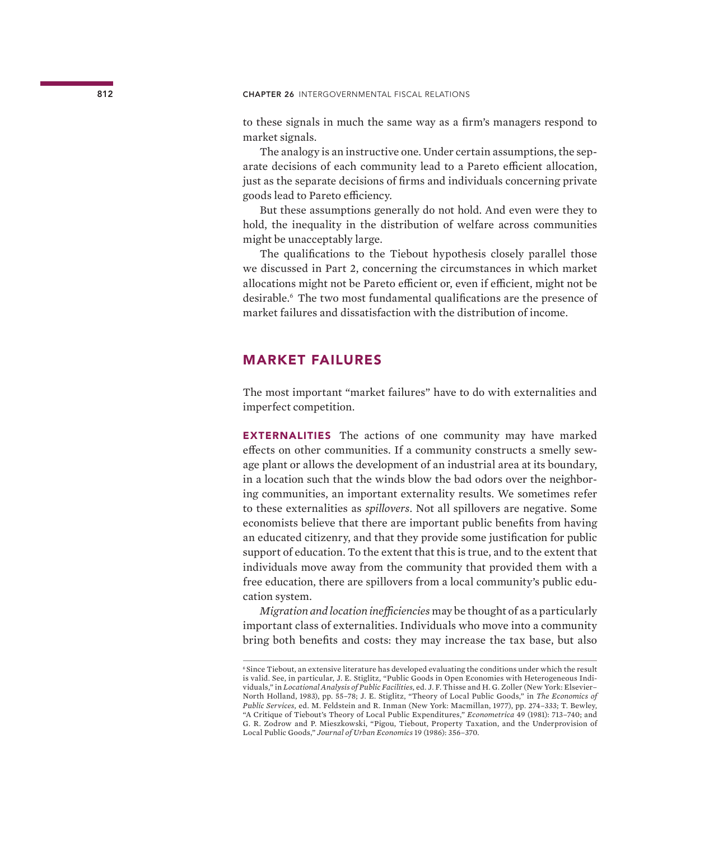to these signals in much the same way as a firm's managers respond to market signals.

The analogy is an instructive one. Under certain assumptions, the separate decisions of each community lead to a Pareto efficient allocation. just as the separate decisions of firms and individuals concerning private goods lead to Pareto efficiency.

But these assumptions generally do not hold. And even were they to hold, the inequality in the distribution of welfare across communities might be unacceptably large.

The qualifications to the Tiebout hypothesis closely parallel those we discussed in Part 2, concerning the circumstances in which market allocations might not be Pareto efficient or, even if efficient, might not be desirable.<sup>6</sup> The two most fundamental qualifications are the presence of market failures and dissatisfaction with the distribution of income.

## **MARKET FAILURES**

The most important "market failures" have to do with externalities and imperfect competition.

**EXTERNALITIES** The actions of one community may have marked effects on other communities. If a community constructs a smelly sewage plant or allows the development of an industrial area at its boundary, in a location such that the winds blow the bad odors over the neighboring communities, an important externality results. We sometimes refer to these externalities as *spillovers*. Not all spillovers are negative. Some economists believe that there are important public benefits from having an educated citizenry, and that they provide some justification for public support of education. To the extent that this is true, and to the extent that individuals move away from the community that provided them with a free education, there are spillovers from a local community's public education system.

*Migration and location inefficiencies* may be thought of as a particularly important class of externalities. Individuals who move into a community bring both benefits and costs: they may increase the tax base, but also

<sup>6</sup> Since Tiebout, an extensive literature has developed evaluating the conditions under which the result is valid. See, in particular, J. E. Stiglitz, "Public Goods in Open Economies with Heterogeneous Individuals," in *Locational Analysis of Public Facilities,* ed. J. F. Thisse and H. G. Zoller (New York: Elsevier– North Holland, 1983), pp. 55–78; J. E. Stiglitz, "Theory of Local Public Goods," in *The Economics of Public Services,* ed. M. Feldstein and R. Inman (New York: Macmillan, 1977), pp. 274–333; T. Bewley, "A Critique of Tiebout's Theory of Local Public Expenditures," *Econometrica* 49 (1981): 713–740; and G. R. Zodrow and P. Mieszkowski, "Pigou, Tiebout, Property Taxation, and the Underprovision of Local Public Goods," *Journal of Urban Economics* 19 (1986): 356–370.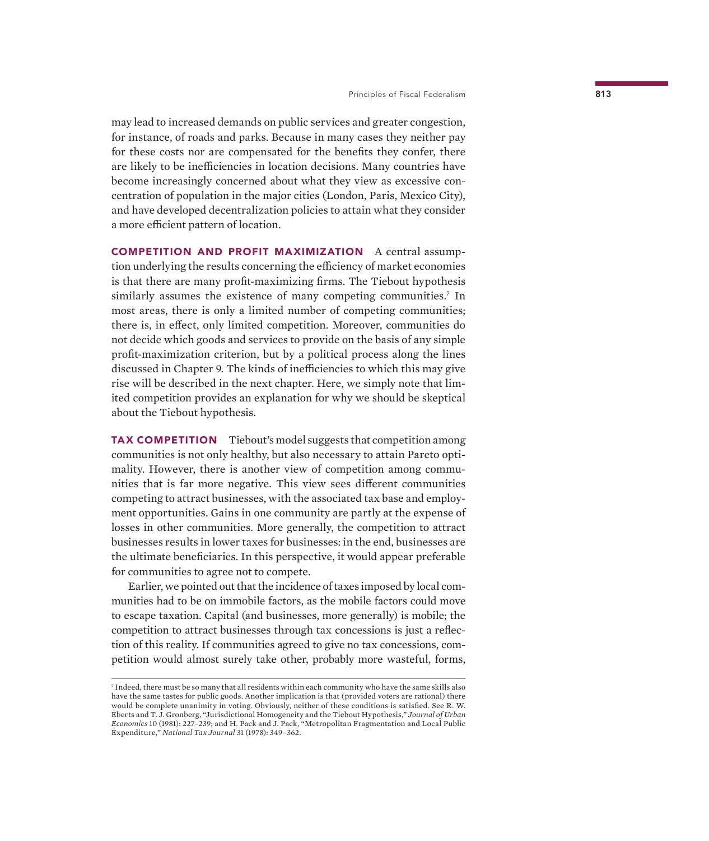may lead to increased demands on public services and greater congestion, for instance, of roads and parks. Because in many cases they neither pay for these costs nor are compensated for the benefits they confer, there are likely to be inefficiencies in location decisions. Many countries have become increasingly concerned about what they view as excessive concentration of population in the major cities (London, Paris, Mexico City), and have developed decentralization policies to attain what they consider a more efficient pattern of location.

**COMPETITION AND PROFIT MAXIMIZATION** A central assumption underlying the results concerning the efficiency of market economies is that there are many profit-maximizing firms. The Tiebout hypothesis similarly assumes the existence of many competing communities.<sup>7</sup> In most areas, there is only a limited number of competing communities; there is, in effect, only limited competition. Moreover, communities do not decide which goods and services to provide on the basis of any simple profit-maximization criterion, but by a political process along the lines discussed in Chapter 9. The kinds of inefficiencies to which this may give rise will be described in the next chapter. Here, we simply note that limited competition provides an explanation for why we should be skeptical about the Tiebout hypothesis.

**TAX COMPETITION** Tiebout's model suggests that competition among communities is not only healthy, but also necessary to attain Pareto optimality. However, there is another view of competition among communities that is far more negative. This view sees different communities competing to attract businesses, with the associated tax base and employment opportunities. Gains in one community are partly at the expense of losses in other communities. More generally, the competition to attract businesses results in lower taxes for businesses: in the end, businesses are the ultimate beneficiaries. In this perspective, it would appear preferable for communities to agree not to compete.

Earlier, we pointed out that the incidence of taxes imposed by local communities had to be on immobile factors, as the mobile factors could move to escape taxation. Capital (and businesses, more generally) is mobile; the competition to attract businesses through tax concessions is just a reflection of this reality. If communities agreed to give no tax concessions, competition would almost surely take other, probably more wasteful, forms,

<sup>7</sup> Indeed, there must be so many that all residents within each community who have the same skills also have the same tastes for public goods. Another implication is that (provided voters are rational) there would be complete unanimity in voting. Obviously, neither of these conditions is satisfied. See R. W. Eberts and T. J. Gronberg, "Jurisdictional Homogeneity and the Tiebout Hypothesis," *Journal of Urban Economics* 10 (1981): 227–239; and H. Pack and J. Pack, "Metropolitan Fragmentation and Local Public Expenditure," *National Tax Journal* 31 (1978): 349–362.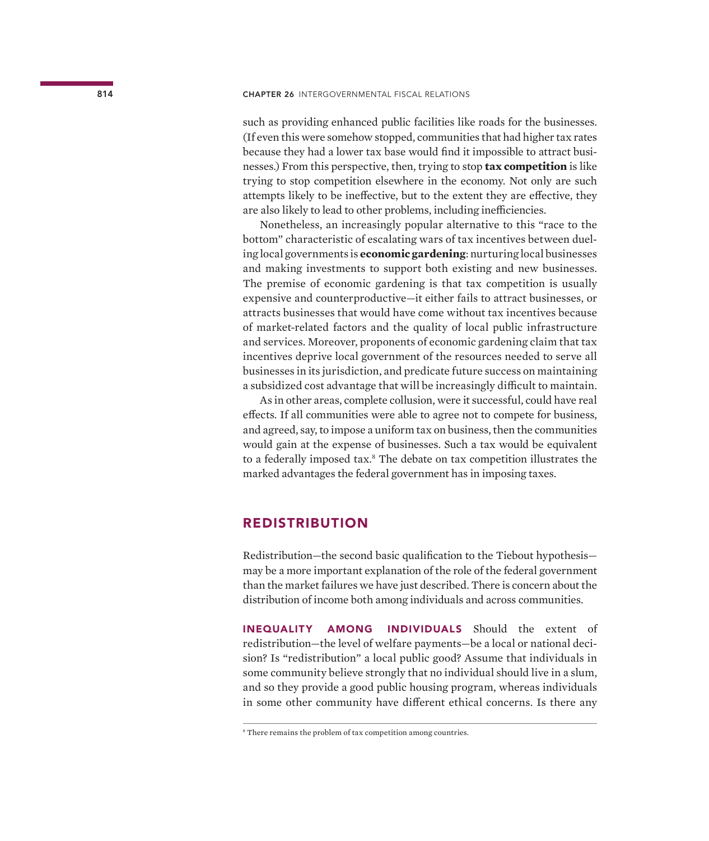such as providing enhanced public facilities like roads for the businesses. (If even this were somehow stopped, communities that had higher tax rates because they had a lower tax base would find it impossible to attract businesses.) From this perspective, then, trying to stop **tax competition** is like trying to stop competition elsewhere in the economy. Not only are such attempts likely to be ineffective, but to the extent they are effective, they are also likely to lead to other problems, including inefficiencies.

Nonetheless, an increasingly popular alternative to this "race to the bottom" characteristic of escalating wars of tax incentives between dueling local governments is **economic gardening**: nurturing local businesses and making investments to support both existing and new businesses. The premise of economic gardening is that tax competition is usually expensive and counterproductive—it either fails to attract businesses, or attracts businesses that would have come without tax incentives because of market-related factors and the quality of local public infrastructure and services. Moreover, proponents of economic gardening claim that tax incentives deprive local government of the resources needed to serve all businesses in its jurisdiction, and predicate future success on maintaining a subsidized cost advantage that will be increasingly difficult to maintain.

As in other areas, complete collusion, were it successful, could have real effects. If all communities were able to agree not to compete for business, and agreed, say, to impose a uniform tax on business, then the communities would gain at the expense of businesses. Such a tax would be equivalent to a federally imposed tax.8 The debate on tax competition illustrates the marked advantages the federal government has in imposing taxes.

#### **REDISTRIBUTION**

Redistribution—the second basic qualification to the Tiebout hypothesis may be a more important explanation of the role of the federal government than the market failures we have just described. There is concern about the distribution of income both among individuals and across communities.

**INEQUALITY AMONG INDIVIDUALS** Should the extent of redistribution—the level of welfare payments—be a local or national decision? Is "redistribution" a local public good? Assume that individuals in some community believe strongly that no individual should live in a slum, and so they provide a good public housing program, whereas individuals in some other community have different ethical concerns. Is there any

<sup>8</sup> There remains the problem of tax competition among countries.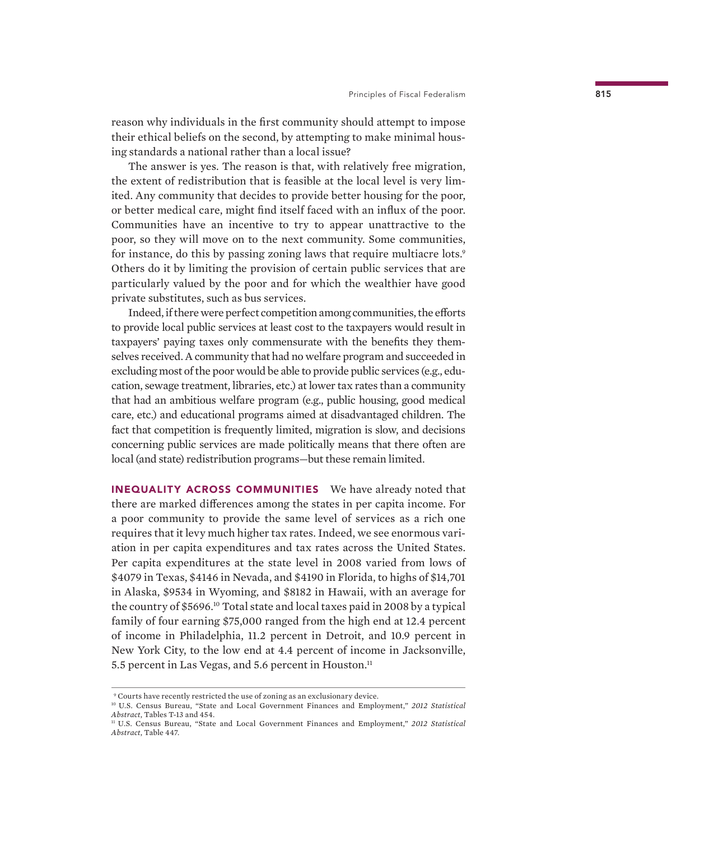reason why individuals in the first community should attempt to impose their ethical beliefs on the second, by attempting to make minimal housing standards a national rather than a local issue?

The answer is yes. The reason is that, with relatively free migration, the extent of redistribution that is feasible at the local level is very limited. Any community that decides to provide better housing for the poor, or better medical care, might find itself faced with an influx of the poor. Communities have an incentive to try to appear unattractive to the poor, so they will move on to the next community. Some communities, for instance, do this by passing zoning laws that require multiacre lots.<sup>9</sup> Others do it by limiting the provision of certain public services that are particularly valued by the poor and for which the wealthier have good private substitutes, such as bus services.

Indeed, if there were perfect competition among communities, the efforts to provide local public services at least cost to the taxpayers would result in taxpayers' paying taxes only commensurate with the benefits they themselves received. A community that had no welfare program and succeeded in excluding most of the poor would be able to provide public services (e.g., education, sewage treatment, libraries, etc.) at lower tax rates than a community that had an ambitious welfare program (e.g., public housing, good medical care, etc.) and educational programs aimed at disadvantaged children. The fact that competition is frequently limited, migration is slow, and decisions concerning public services are made politically means that there often are local (and state) redistribution programs—but these remain limited.

**INEQUALITY ACROSS COMMUNITIES** We have already noted that there are marked differences among the states in per capita income. For a poor community to provide the same level of services as a rich one requires that it levy much higher tax rates. Indeed, we see enormous variation in per capita expenditures and tax rates across the United States. Per capita expenditures at the state level in 2008 varied from lows of \$4079 in Texas, \$4146 in Nevada, and \$4190 in Florida, to highs of \$14,701 in Alaska, \$9534 in Wyoming, and \$8182 in Hawaii, with an average for the country of \$5696.10 Total state and local taxes paid in 2008 by a typical family of four earning \$75,000 ranged from the high end at 12.4 percent of income in Philadelphia, 11.2 percent in Detroit, and 10.9 percent in New York City, to the low end at 4.4 percent of income in Jacksonville, 5.5 percent in Las Vegas, and 5.6 percent in Houston.<sup>11</sup>

<sup>9</sup> Courts have recently restricted the use of zoning as an exclusionary device.

<sup>10</sup> U.S. Census Bureau, "State and Local Government Finances and Employment," *2012 Statistical Abstract*, Tables T-13 and 454.

<sup>11</sup> U.S. Census Bureau, "State and Local Government Finances and Employment," *2012 Statistical Abstract*, Table 447.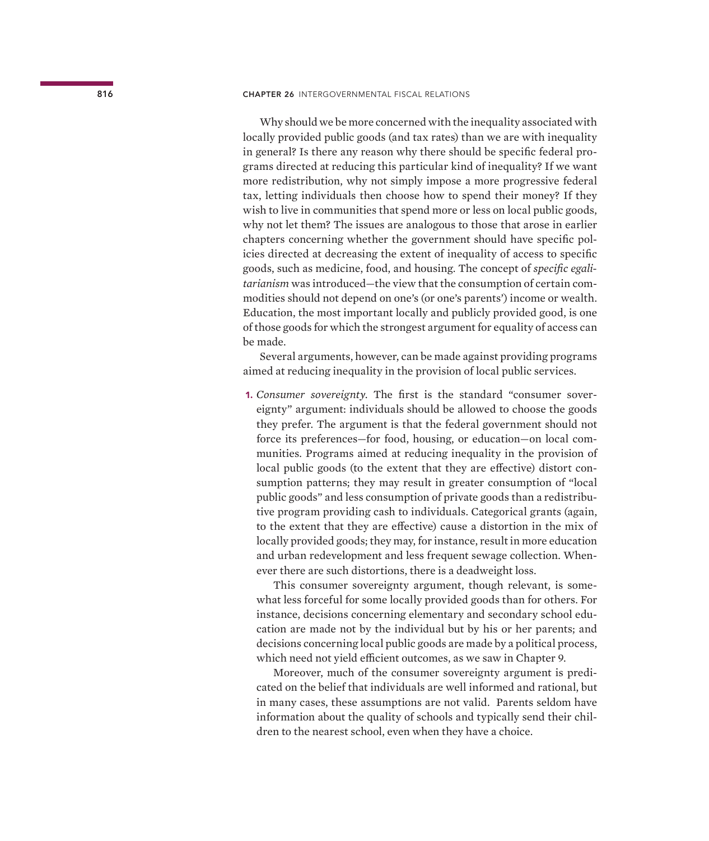Why should we be more concerned with the inequality associated with locally provided public goods (and tax rates) than we are with inequality in general? Is there any reason why there should be specific federal programs directed at reducing this particular kind of inequality? If we want more redistribution, why not simply impose a more progressive federal tax, letting individuals then choose how to spend their money? If they wish to live in communities that spend more or less on local public goods, why not let them? The issues are analogous to those that arose in earlier chapters concerning whether the government should have specific policies directed at decreasing the extent of inequality of access to specific goods, such as medicine, food, and housing. The concept of *specific egalitarianism* was introduced—the view that the consumption of certain commodities should not depend on one's (or one's parents') income or wealth. Education, the most important locally and publicly provided good, is one of those goods for which the strongest argument for equality of access can be made.

Several arguments, however, can be made against providing programs aimed at reducing inequality in the provision of local public services.

**1.** *Consumer sovereignty*. The first is the standard "consumer sovereignty" argument: individuals should be allowed to choose the goods they prefer. The argument is that the federal government should not force its preferences—for food, housing, or education—on local communities. Programs aimed at reducing inequality in the provision of local public goods (to the extent that they are effective) distort consumption patterns; they may result in greater consumption of "local public goods" and less consumption of private goods than a redistributive program providing cash to individuals. Categorical grants (again, to the extent that they are effective) cause a distortion in the mix of locally provided goods; they may, for instance, result in more education and urban redevelopment and less frequent sewage collection. Whenever there are such distortions, there is a deadweight loss.

 This consumer sovereignty argument, though relevant, is somewhat less forceful for some locally provided goods than for others. For instance, decisions concerning elementary and secondary school education are made not by the individual but by his or her parents; and decisions concerning local public goods are made by a political process, which need not yield efficient outcomes, as we saw in Chapter 9.

 Moreover, much of the consumer sovereignty argument is predicated on the belief that individuals are well informed and rational, but in many cases, these assumptions are not valid. Parents seldom have information about the quality of schools and typically send their children to the nearest school, even when they have a choice.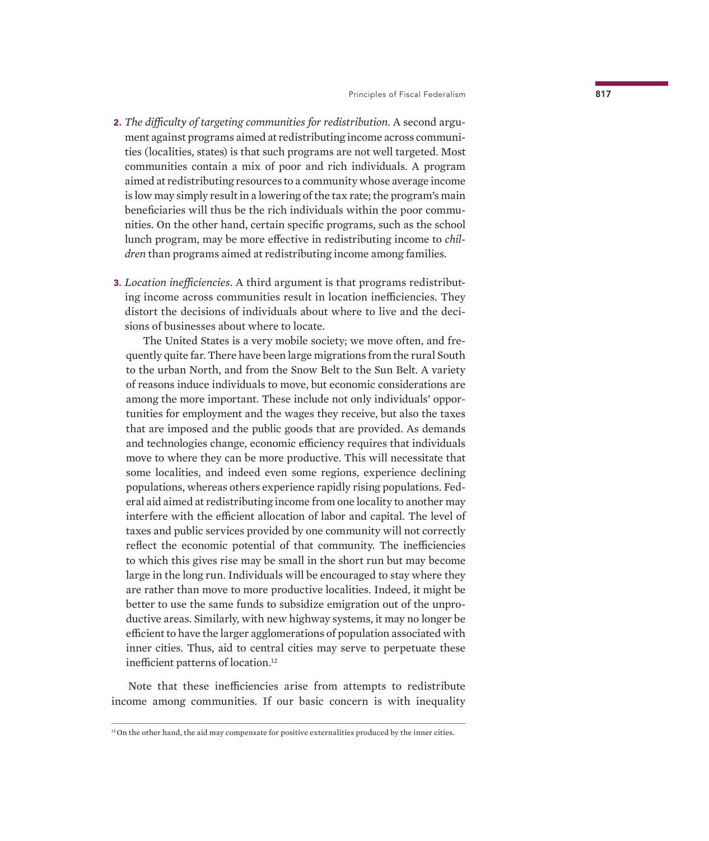- **2.** *The difficulty of targeting communities for redistribution.* A second argument against programs aimed at redistributing income across communities (localities, states) is that such programs are not well targeted. Most communities contain a mix of poor and rich individuals. A program aimed at redistributing resources to a community whose average income is low may simply result in a lowering of the tax rate; the program's main beneficiaries will thus be the rich individuals within the poor communities. On the other hand, certain specific programs, such as the school lunch program, may be more effective in redistributing income to *children* than programs aimed at redistributing income among families.
- **3.** *Location inefficiencies.* A third argument is that programs redistributing income across communities result in location inefficiencies. They distort the decisions of individuals about where to live and the decisions of businesses about where to locate.

The United States is a very mobile society; we move often, and frequently quite far. There have been large migrations from the rural South to the urban North, and from the Snow Belt to the Sun Belt. A variety of reasons induce individuals to move, but economic considerations are among the more important. These include not only individuals' opportunities for employment and the wages they receive, but also the taxes that are imposed and the public goods that are provided. As demands and technologies change, economic efficiency requires that individuals move to where they can be more productive. This will necessitate that some localities, and indeed even some regions, experience declining populations, whereas others experience rapidly rising populations. Federal aid aimed at redistributing income from one locality to another may interfere with the efficient allocation of labor and capital. The level of taxes and public services provided by one community will not correctly reflect the economic potential of that community. The inefficiencies to which this gives rise may be small in the short run but may become large in the long run. Individuals will be encouraged to stay where they are rather than move to more productive localities. Indeed, it might be better to use the same funds to subsidize emigration out of the unproductive areas. Similarly, with new highway systems, it may no longer be efficient to have the larger agglomerations of population associated with inner cities. Thus, aid to central cities may serve to perpetuate these inefficient patterns of location.<sup>12</sup>

Note that these inefficiencies arise from attempts to redistribute income among communities. If our basic concern is with inequality

<sup>&</sup>lt;sup>12</sup> On the other hand, the aid may compensate for positive externalities produced by the inner cities.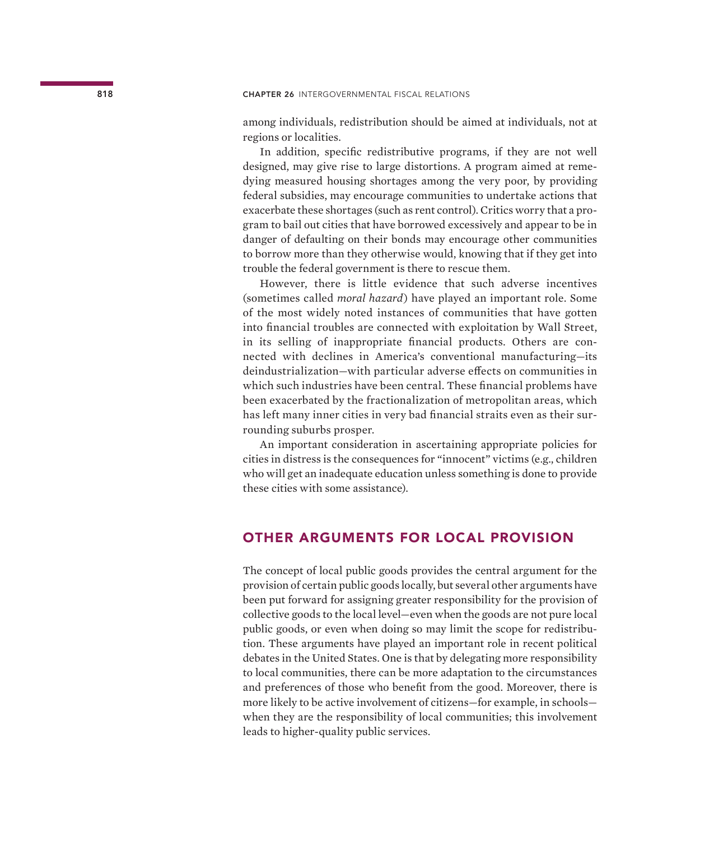among individuals, redistribution should be aimed at individuals, not at regions or localities.

In addition, specific redistributive programs, if they are not well designed, may give rise to large distortions. A program aimed at remedying measured housing shortages among the very poor, by providing federal subsidies, may encourage communities to undertake actions that exacerbate these shortages (such as rent control). Critics worry that a program to bail out cities that have borrowed excessively and appear to be in danger of defaulting on their bonds may encourage other communities to borrow more than they otherwise would, knowing that if they get into trouble the federal government is there to rescue them.

However, there is little evidence that such adverse incentives (sometimes called *moral hazard*) have played an important role. Some of the most widely noted instances of communities that have gotten into financial troubles are connected with exploitation by Wall Street, in its selling of inappropriate financial products. Others are connected with declines in America's conventional manufacturing—its deindustrialization—with particular adverse effects on communities in which such industries have been central. These financial problems have been exacerbated by the fractionalization of metropolitan areas, which has left many inner cities in very bad financial straits even as their surrounding suburbs prosper.

An important consideration in ascertaining appropriate policies for cities in distress is the consequences for "innocent" victims (e.g., children who will get an inadequate education unless something is done to provide these cities with some assistance).

## **OTHER ARGUMENTS FOR LOCAL PROVISION**

The concept of local public goods provides the central argument for the provision of certain public goods locally, but several other arguments have been put forward for assigning greater responsibility for the provision of collective goods to the local level—even when the goods are not pure local public goods, or even when doing so may limit the scope for redistribution. These arguments have played an important role in recent political debates in the United States. One is that by delegating more responsibility to local communities, there can be more adaptation to the circumstances and preferences of those who benefit from the good. Moreover, there is more likely to be active involvement of citizens—for example, in schools when they are the responsibility of local communities; this involvement leads to higher-quality public services.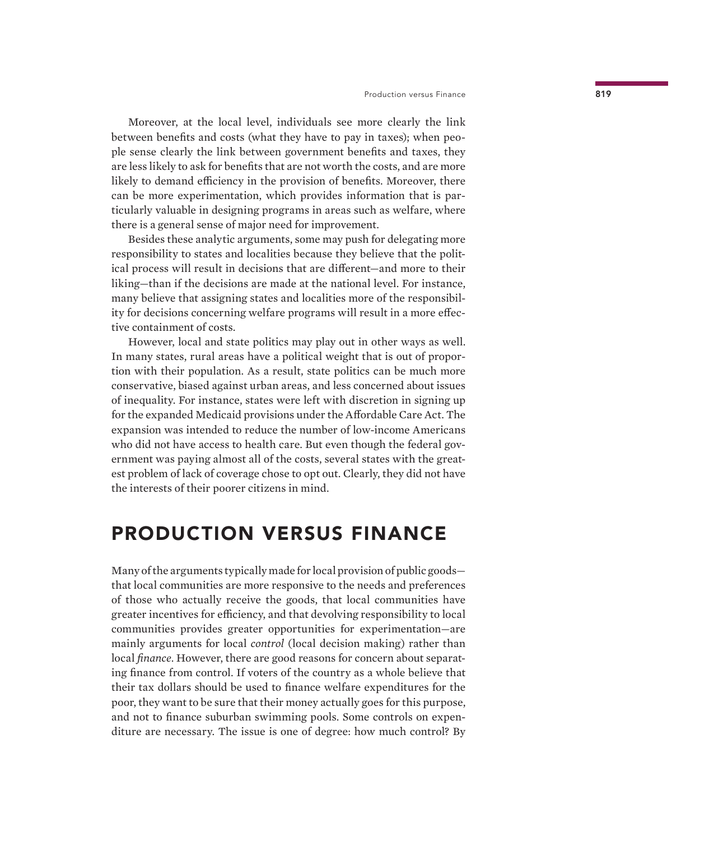Moreover, at the local level, individuals see more clearly the link between benefits and costs (what they have to pay in taxes); when people sense clearly the link between government benefits and taxes, they are less likely to ask for benefits that are not worth the costs, and are more likely to demand efficiency in the provision of benefits. Moreover, there can be more experimentation, which provides information that is particularly valuable in designing programs in areas such as welfare, where there is a general sense of major need for improvement.

Besides these analytic arguments, some may push for delegating more responsibility to states and localities because they believe that the political process will result in decisions that are different—and more to their liking—than if the decisions are made at the national level. For instance, many believe that assigning states and localities more of the responsibility for decisions concerning welfare programs will result in a more effective containment of costs.

However, local and state politics may play out in other ways as well. In many states, rural areas have a political weight that is out of proportion with their population. As a result, state politics can be much more conservative, biased against urban areas, and less concerned about issues of inequality. For instance, states were left with discretion in signing up for the expanded Medicaid provisions under the Affordable Care Act. The expansion was intended to reduce the number of low-income Americans who did not have access to health care. But even though the federal government was paying almost all of the costs, several states with the greatest problem of lack of coverage chose to opt out. Clearly, they did not have the interests of their poorer citizens in mind.

# **PRODUCTION VERSUS FINANCE**

Many of the arguments typically made for local provision of public goods that local communities are more responsive to the needs and preferences of those who actually receive the goods, that local communities have greater incentives for efficiency, and that devolving responsibility to local communities provides greater opportunities for experimentation—are mainly arguments for local *control* (local decision making) rather than local *finance*. However, there are good reasons for concern about separating finance from control. If voters of the country as a whole believe that their tax dollars should be used to finance welfare expenditures for the poor, they want to be sure that their money actually goes for this purpose, and not to finance suburban swimming pools. Some controls on expenditure are necessary. The issue is one of degree: how much control? By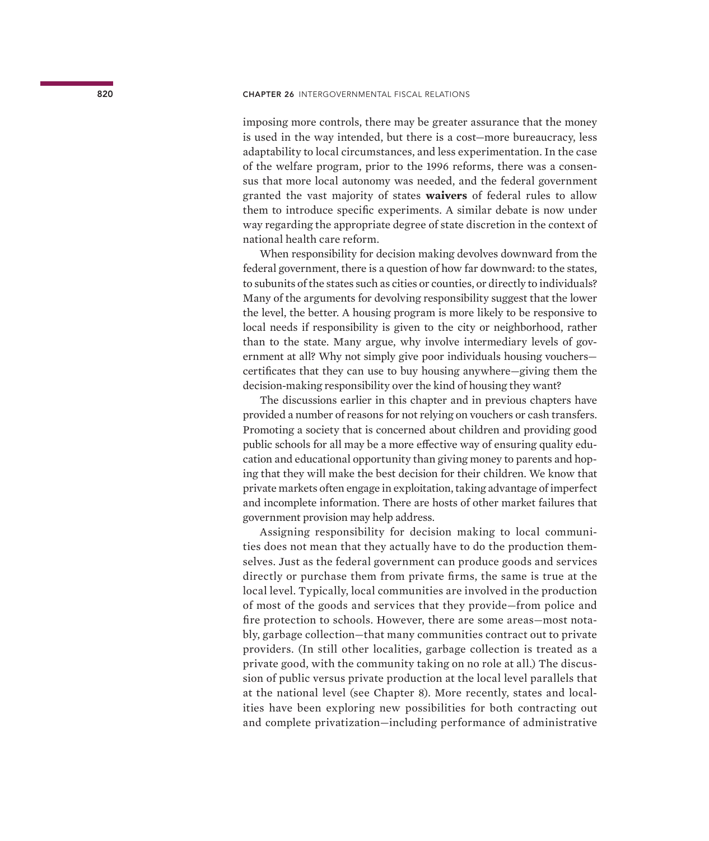imposing more controls, there may be greater assurance that the money is used in the way intended, but there is a cost—more bureaucracy, less adaptability to local circumstances, and less experimentation. In the case of the welfare program, prior to the 1996 reforms, there was a consensus that more local autonomy was needed, and the federal government granted the vast majority of states **waivers** of federal rules to allow them to introduce specific experiments. A similar debate is now under way regarding the appropriate degree of state discretion in the context of national health care reform.

When responsibility for decision making devolves downward from the federal government, there is a question of how far downward: to the states, to subunits of the states such as cities or counties, or directly to individuals? Many of the arguments for devolving responsibility suggest that the lower the level, the better. A housing program is more likely to be responsive to local needs if responsibility is given to the city or neighborhood, rather than to the state. Many argue, why involve intermediary levels of government at all? Why not simply give poor individuals housing vouchers certificates that they can use to buy housing anywhere—giving them the decision-making responsibility over the kind of housing they want?

The discussions earlier in this chapter and in previous chapters have provided a number of reasons for not relying on vouchers or cash transfers. Promoting a society that is concerned about children and providing good public schools for all may be a more effective way of ensuring quality education and educational opportunity than giving money to parents and hoping that they will make the best decision for their children. We know that private markets often engage in exploitation, taking advantage of imperfect and incomplete information. There are hosts of other market failures that government provision may help address.

Assigning responsibility for decision making to local communities does not mean that they actually have to do the production themselves. Just as the federal government can produce goods and services directly or purchase them from private firms, the same is true at the local level. Typically, local communities are involved in the production of most of the goods and services that they provide—from police and fire protection to schools. However, there are some areas-most notably, garbage collection—that many communities contract out to private providers. (In still other localities, garbage collection is treated as a private good, with the community taking on no role at all.) The discussion of public versus private production at the local level parallels that at the national level (see Chapter 8). More recently, states and localities have been exploring new possibilities for both contracting out and complete privatization—including performance of administrative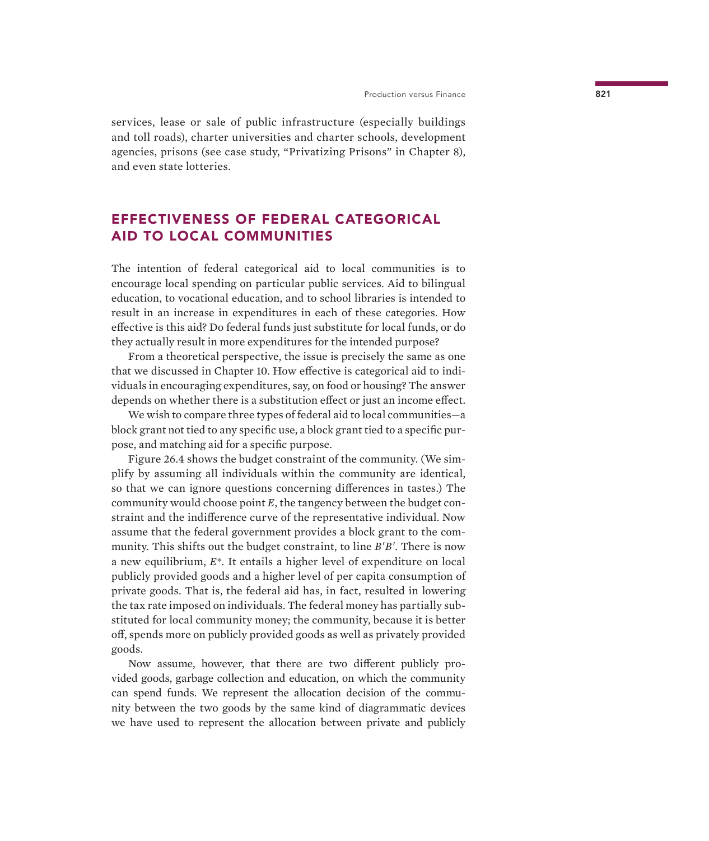services, lease or sale of public infrastructure (especially buildings and toll roads), charter universities and charter schools, development agencies, prisons (see case study, "Privatizing Prisons" in Chapter 8), and even state lotteries.

## **EFFECTIVENESS OF FEDERAL CATEGORICAL AID TO LOCAL COMMUNITIES**

The intention of federal categorical aid to local communities is to encourage local spending on particular public services. Aid to bilingual education, to vocational education, and to school libraries is intended to result in an increase in expenditures in each of these categories. How effective is this aid? Do federal funds just substitute for local funds, or do they actually result in more expenditures for the intended purpose?

From a theoretical perspective, the issue is precisely the same as one that we discussed in Chapter 10. How effective is categorical aid to individuals in encouraging expenditures, say, on food or housing? The answer depends on whether there is a substitution effect or just an income effect.

We wish to compare three types of federal aid to local communities—a block grant not tied to any specific use, a block grant tied to a specific purpose, and matching aid for a specific purpose.

Figure 26.4 shows the budget constraint of the community. (We simplify by assuming all individuals within the community are identical, so that we can ignore questions concerning differences in tastes.) The community would choose point *E*, the tangency between the budget constraint and the indifference curve of the representative individual. Now assume that the federal government provides a block grant to the community. This shifts out the budget constraint, to line *B'B'*. There is now a new equilibrium, *E*\*. It entails a higher level of expenditure on local publicly provided goods and a higher level of per capita consumption of private goods. That is, the federal aid has, in fact, resulted in lowering the tax rate imposed on individuals. The federal money has partially substituted for local community money; the community, because it is better off , spends more on publicly provided goods as well as privately provided goods.

Now assume, however, that there are two different publicly provided goods, garbage collection and education, on which the community can spend funds. We represent the allocation decision of the community between the two goods by the same kind of diagrammatic devices we have used to represent the allocation between private and publicly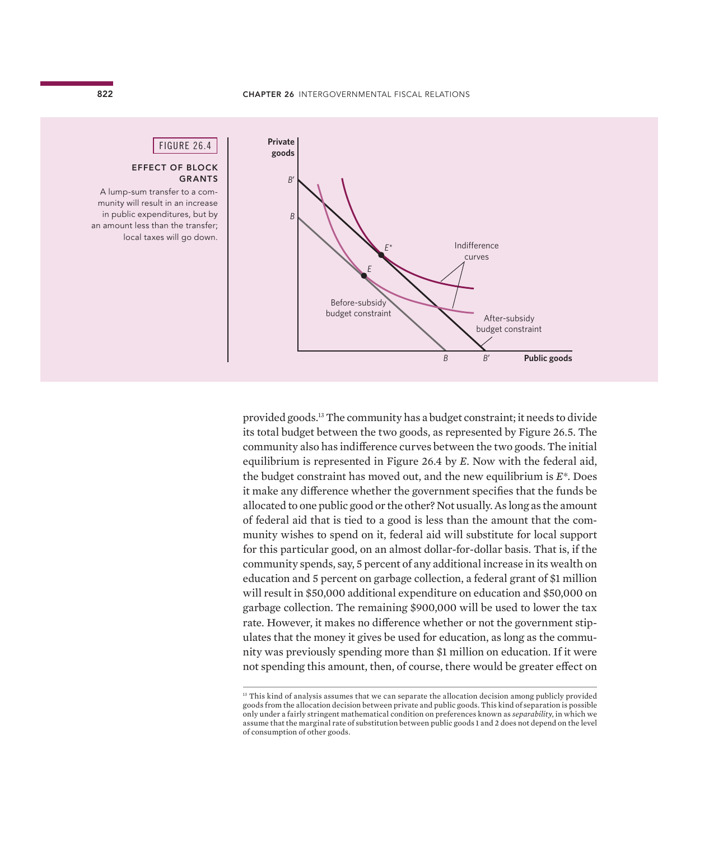

#### **EFFECT OF BLOCK GRANTS**

A lump-sum transfer to a community will result in an increase in public expenditures, but by an amount less than the transfer; local taxes will go down.



provided goods.13 The community has a budget constraint; it needs to divide its total budget between the two goods, as represented by Figure 26.5. The community also has indifference curves between the two goods. The initial equilibrium is represented in Figure 26.4 by *E*. Now with the federal aid, the budget constraint has moved out, and the new equilibrium is *E*\*. Does it make any difference whether the government specifies that the funds be allocated to one public good or the other? Not usually. As long as the amount of federal aid that is tied to a good is less than the amount that the community wishes to spend on it, federal aid will substitute for local support for this particular good, on an almost dollar-for-dollar basis. That is, if the community spends, say, 5 percent of any additional increase in its wealth on education and 5 percent on garbage collection, a federal grant of \$1 million will result in \$50,000 additional expenditure on education and \$50,000 on garbage collection. The remaining \$900,000 will be used to lower the tax rate. However, it makes no difference whether or not the government stipulates that the money it gives be used for education, as long as the community was previously spending more than \$1 million on education. If it were not spending this amount, then, of course, there would be greater effect on

<sup>&</sup>lt;sup>13</sup> This kind of analysis assumes that we can separate the allocation decision among publicly provided goods from the allocation decision between private and public goods. This kind of separation is possible only under a fairly stringent mathematical condition on preferences known as *separability*, in which we assume that the marginal rate of substitution between public goods 1 and 2 does not depend on the level of consumption of other goods.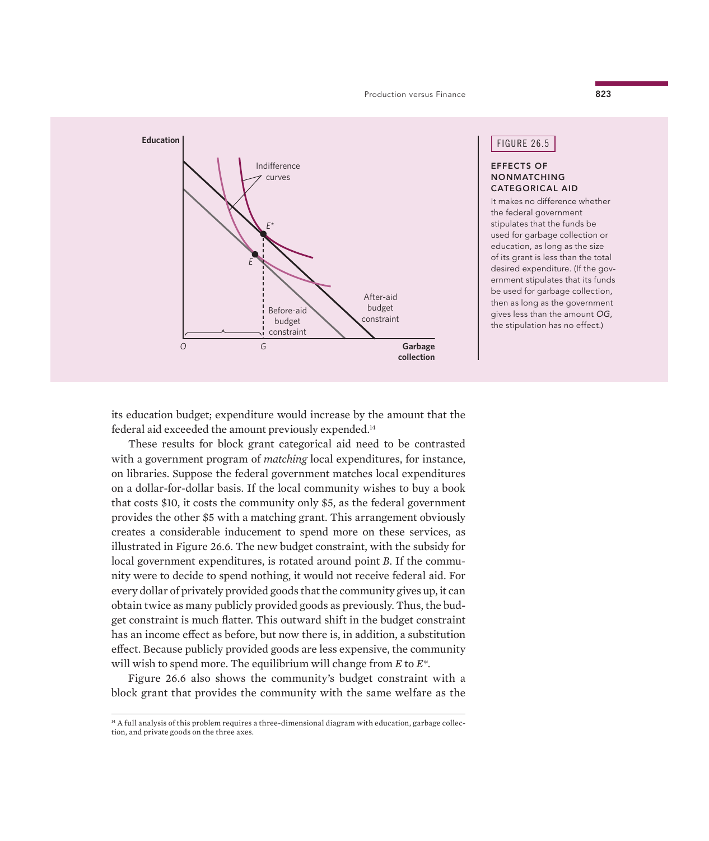

FIGURE 26.5

#### **EFFECTS OF NONMATCHING CATEGORICAL AID**

It makes no difference whether the federal government stipulates that the funds be used for garbage collection or education, as long as the size of its grant is less than the total desired expenditure. (If the government stipulates that its funds be used for garbage collection, then as long as the government gives less than the amount OG, the stipulation has no effect.)

its education budget; expenditure would increase by the amount that the federal aid exceeded the amount previously expended.<sup>14</sup>

These results for block grant categorical aid need to be contrasted with a government program of *matching* local expenditures, for instance, on libraries. Suppose the federal government matches local expenditures on a dollar-for-dollar basis. If the local community wishes to buy a book that costs \$10, it costs the community only \$5, as the federal government provides the other \$5 with a matching grant. This arrangement obviously creates a considerable inducement to spend more on these services, as illustrated in Figure 26.6. The new budget constraint, with the subsidy for local government expenditures, is rotated around point *B*. If the community were to decide to spend nothing, it would not receive federal aid. For every dollar of privately provided goods that the community gives up, it can obtain twice as many publicly provided goods as previously. Thus, the budget constraint is much flatter. This outward shift in the budget constraint has an income effect as before, but now there is, in addition, a substitution effect. Because publicly provided goods are less expensive, the community will wish to spend more. The equilibrium will change from *E* to *E*\*.

Figure 26.6 also shows the community's budget constraint with a block grant that provides the community with the same welfare as the

<sup>&</sup>lt;sup>14</sup> A full analysis of this problem requires a three-dimensional diagram with education, garbage collection, and private goods on the three axes.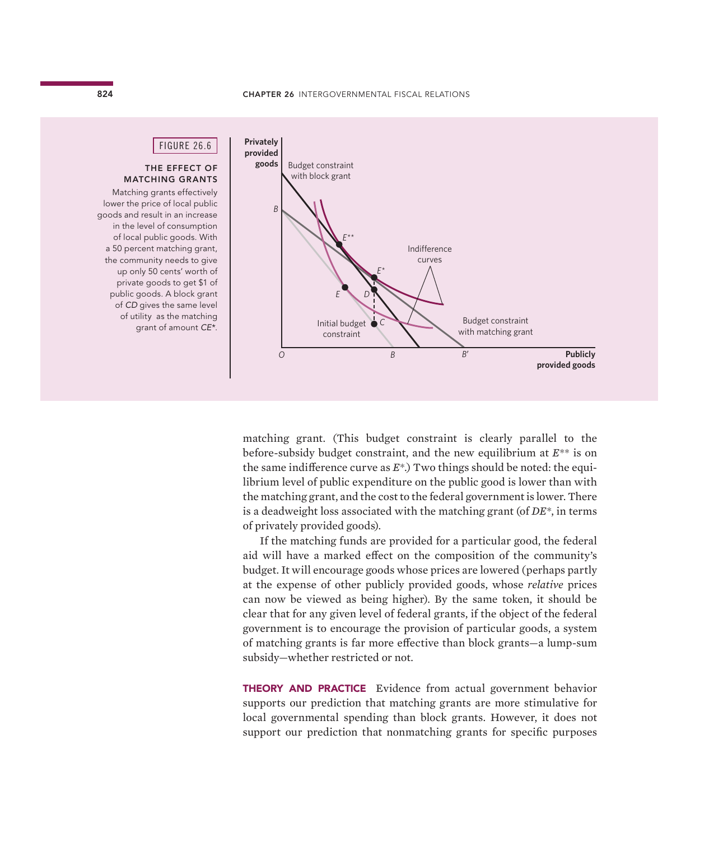

matching grant. (This budget constraint is clearly parallel to the before-subsidy budget constraint, and the new equilibrium at *E*\*\* is on the same indifference curve as  $E^*$ .) Two things should be noted: the equilibrium level of public expenditure on the public good is lower than with the matching grant, and the cost to the federal government is lower. There is a deadweight loss associated with the matching grant (of *DE*\*, in terms of privately provided goods).

If the matching funds are provided for a particular good, the federal aid will have a marked effect on the composition of the community's budget. It will encourage goods whose prices are lowered (perhaps partly at the expense of other publicly provided goods, whose *relative* prices can now be viewed as being higher). By the same token, it should be clear that for any given level of federal grants, if the object of the federal government is to encourage the provision of particular goods, a system of matching grants is far more effective than block grants—a lump-sum subsidy—whether restricted or not.

**THEORY AND PRACTICE** Evidence from actual government behavior supports our prediction that matching grants are more stimulative for local governmental spending than block grants. However, it does not support our prediction that nonmatching grants for specific purposes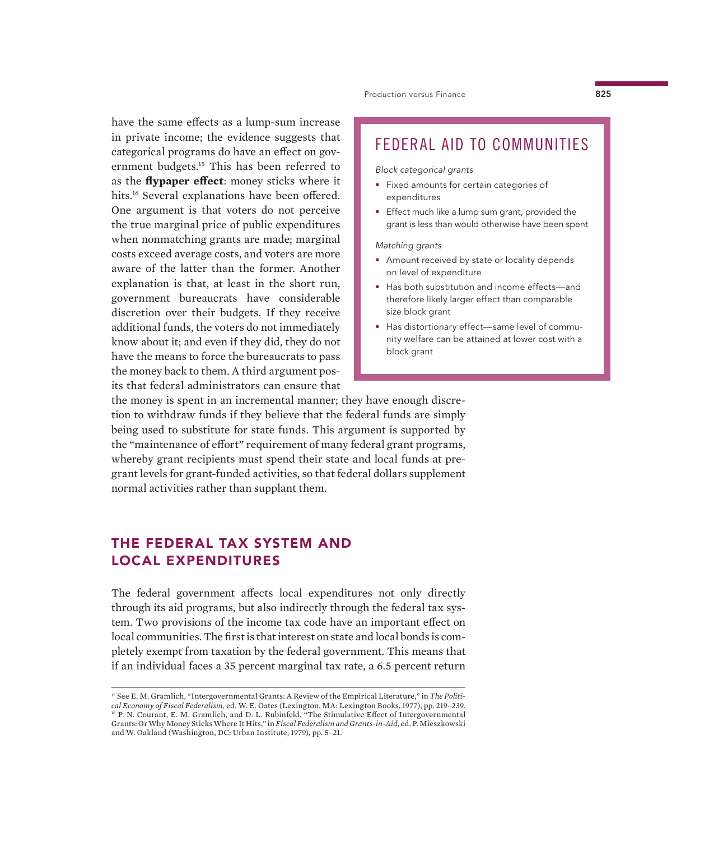have the same effects as a lump-sum increase in private income; the evidence suggests that categorical programs do have an effect on government budgets.<sup>15</sup> This has been referred to as the **flypaper effect**: money sticks where it hits.<sup>16</sup> Several explanations have been offered. One argument is that voters do not perceive the true marginal price of public expenditures when nonmatching grants are made; marginal costs exceed average costs, and voters are more aware of the latter than the former. Another explanation is that, at least in the short run, government bureaucrats have considerable discretion over their budgets. If they receive additional funds, the voters do not immediately know about it; and even if they did, they do not have the means to force the bureaucrats to pass the money back to them. A third argument posits that federal administrators can ensure that

## FEDERAL AID TO COMMUNITIES

Block categorical grants

- Fixed amounts for certain categories of expenditures
- Effect much like a lump sum grant, provided the grant is less than would otherwise have been spent

#### Matching grants

- Amount received by state or locality depends on level of expenditure
- Has both substitution and income effects—and therefore likely larger effect than comparable size block grant
- Has distortionary effect—same level of community welfare can be attained at lower cost with a block grant

the money is spent in an incremental manner; they have enough discretion to withdraw funds if they believe that the federal funds are simply being used to substitute for state funds. This argument is supported by the "maintenance of effort" requirement of many federal grant programs, whereby grant recipients must spend their state and local funds at pregrant levels for grant-funded activities, so that federal dollars supplement normal activities rather than supplant them.

## **THE FEDERAL TAX SYSTEM AND LOCAL EXPENDITURES**

The federal government affects local expenditures not only directly through its aid programs, but also indirectly through the federal tax system. Two provisions of the income tax code have an important effect on local communities. The first is that interest on state and local bonds is completely exempt from taxation by the federal government. This means that if an individual faces a 35 percent marginal tax rate, a 6.5 percent return

<sup>15</sup> See E. M. Gramlich, "Intergovernmental Grants: A Review of the Empirical Literature," in *The Political Economy of Fiscal Federalism*, ed. W. E. Oates (Lexington, MA: Lexington Books, 1977), pp. 219–239. <sup>16</sup> P. N. Courant, E. M. Gramlich, and D. L. Rubinfeld, "The Stimulative Effect of Intergovernmental Grants: Or Why Money Sticks Where It Hits," in *Fiscal Federalism and Grants-in-Aid,* ed. P. Mieszkowski and W. Oakland (Washington, DC: Urban Institute, 1979), pp. 5–21.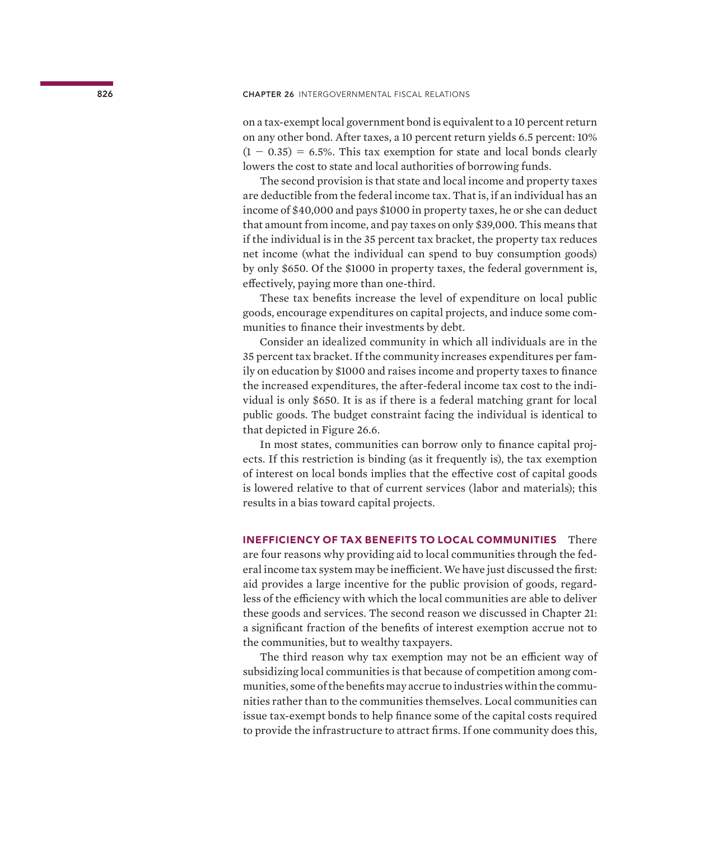on a tax-exempt local government bond is equivalent to a 10 percent return on any other bond. After taxes, a 10 percent return yields 6.5 percent: 10%  $(1 - 0.35) = 6.5\%$ . This tax exemption for state and local bonds clearly lowers the cost to state and local authorities of borrowing funds.

The second provision is that state and local income and property taxes are deductible from the federal income tax. That is, if an individual has an income of \$40,000 and pays \$1000 in property taxes, he or she can deduct that amount from income, and pay taxes on only \$39,000. This means that if the individual is in the 35 percent tax bracket, the property tax reduces net income (what the individual can spend to buy consumption goods) by only \$650. Of the \$1000 in property taxes, the federal government is, effectively, paying more than one-third.

These tax benefits increase the level of expenditure on local public goods, encourage expenditures on capital projects, and induce some communities to finance their investments by debt.

Consider an idealized community in which all individuals are in the 35 percent tax bracket. If the community increases expenditures per family on education by \$1000 and raises income and property taxes to finance the increased expenditures, the after-federal income tax cost to the individual is only \$650. It is as if there is a federal matching grant for local public goods. The budget constraint facing the individual is identical to that depicted in Figure 26.6.

In most states, communities can borrow only to finance capital projects. If this restriction is binding (as it frequently is), the tax exemption of interest on local bonds implies that the effective cost of capital goods is lowered relative to that of current services (labor and materials); this results in a bias toward capital projects.

**INEFFICIENCY OF TAX BENEFITS TO LOCAL COMMUNITIES** There are four reasons why providing aid to local communities through the federal income tax system may be inefficient. We have just discussed the first: aid provides a large incentive for the public provision of goods, regardless of the efficiency with which the local communities are able to deliver these goods and services. The second reason we discussed in Chapter 21: a significant fraction of the benefits of interest exemption accrue not to the communities, but to wealthy taxpayers.

The third reason why tax exemption may not be an efficient way of subsidizing local communities is that because of competition among communities, some of the benefits may accrue to industries within the communities rather than to the communities themselves. Local communities can issue tax-exempt bonds to help finance some of the capital costs required to provide the infrastructure to attract firms. If one community does this,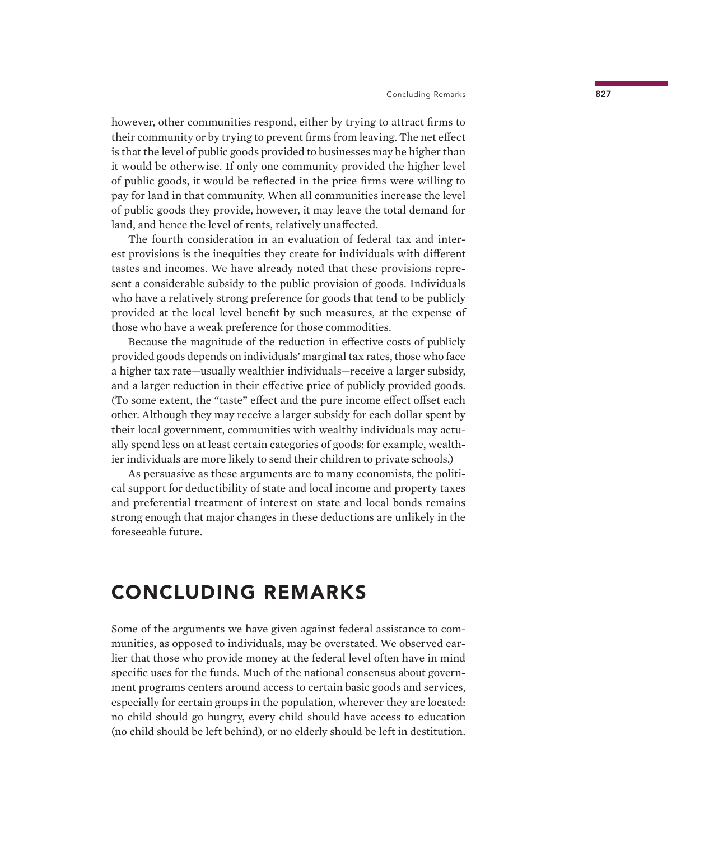however, other communities respond, either by trying to attract firms to their community or by trying to prevent firms from leaving. The net effect is that the level of public goods provided to businesses may be higher than it would be otherwise. If only one community provided the higher level of public goods, it would be reflected in the price firms were willing to pay for land in that community. When all communities increase the level of public goods they provide, however, it may leave the total demand for land, and hence the level of rents, relatively unaffected.

The fourth consideration in an evaluation of federal tax and interest provisions is the inequities they create for individuals with different tastes and incomes. We have already noted that these provisions represent a considerable subsidy to the public provision of goods. Individuals who have a relatively strong preference for goods that tend to be publicly provided at the local level benefit by such measures, at the expense of those who have a weak preference for those commodities.

Because the magnitude of the reduction in effective costs of publicly provided goods depends on individuals' marginal tax rates, those who face a higher tax rate—usually wealthier individuals—receive a larger subsidy, and a larger reduction in their effective price of publicly provided goods. (To some extent, the "taste" effect and the pure income effect offset each other. Although they may receive a larger subsidy for each dollar spent by their local government, communities with wealthy individuals may actually spend less on at least certain categories of goods: for example, wealthier individuals are more likely to send their children to private schools.)

As persuasive as these arguments are to many economists, the political support for deductibility of state and local income and property taxes and preferential treatment of interest on state and local bonds remains strong enough that major changes in these deductions are unlikely in the foreseeable future.

# **CONCLUDING REMARKS**

Some of the arguments we have given against federal assistance to communities, as opposed to individuals, may be overstated. We observed earlier that those who provide money at the federal level often have in mind specific uses for the funds. Much of the national consensus about government programs centers around access to certain basic goods and services, especially for certain groups in the population, wherever they are located: no child should go hungry, every child should have access to education (no child should be left behind), or no elderly should be left in destitution.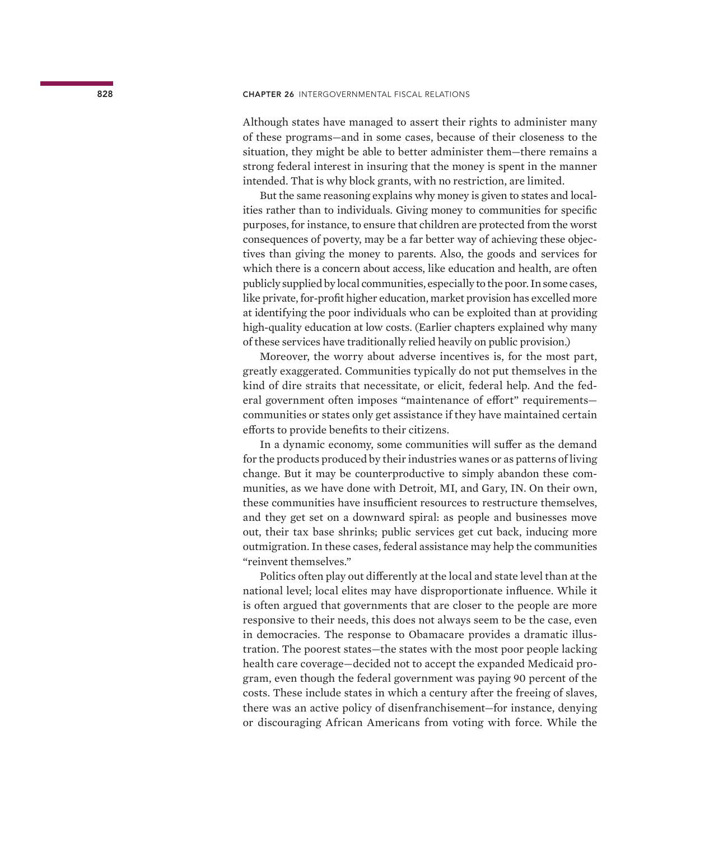Although states have managed to assert their rights to administer many of these programs—and in some cases, because of their closeness to the situation, they might be able to better administer them—there remains a strong federal interest in insuring that the money is spent in the manner intended. That is why block grants, with no restriction, are limited.

But the same reasoning explains why money is given to states and localities rather than to individuals. Giving money to communities for specific purposes, for instance, to ensure that children are protected from the worst consequences of poverty, may be a far better way of achieving these objectives than giving the money to parents. Also, the goods and services for which there is a concern about access, like education and health, are often publicly supplied by local communities, especially to the poor. In some cases, like private, for-profit higher education, market provision has excelled more at identifying the poor individuals who can be exploited than at providing high-quality education at low costs. (Earlier chapters explained why many of these services have traditionally relied heavily on public provision.)

Moreover, the worry about adverse incentives is, for the most part, greatly exaggerated. Communities typically do not put themselves in the kind of dire straits that necessitate, or elicit, federal help. And the federal government often imposes "maintenance of effort" requirementscommunities or states only get assistance if they have maintained certain efforts to provide benefits to their citizens.

In a dynamic economy, some communities will suffer as the demand for the products produced by their industries wanes or as patterns of living change. But it may be counterproductive to simply abandon these communities, as we have done with Detroit, MI, and Gary, IN. On their own, these communities have insufficient resources to restructure themselves, and they get set on a downward spiral: as people and businesses move out, their tax base shrinks; public services get cut back, inducing more outmigration. In these cases, federal assistance may help the communities "reinvent themselves."

Politics often play out differently at the local and state level than at the national level; local elites may have disproportionate influence. While it is often argued that governments that are closer to the people are more responsive to their needs, this does not always seem to be the case, even in democracies. The response to Obamacare provides a dramatic illustration. The poorest states—the states with the most poor people lacking health care coverage—decided not to accept the expanded Medicaid program, even though the federal government was paying 90 percent of the costs. These include states in which a century after the freeing of slaves, there was an active policy of disenfranchisement—for instance, denying or discouraging African Americans from voting with force. While the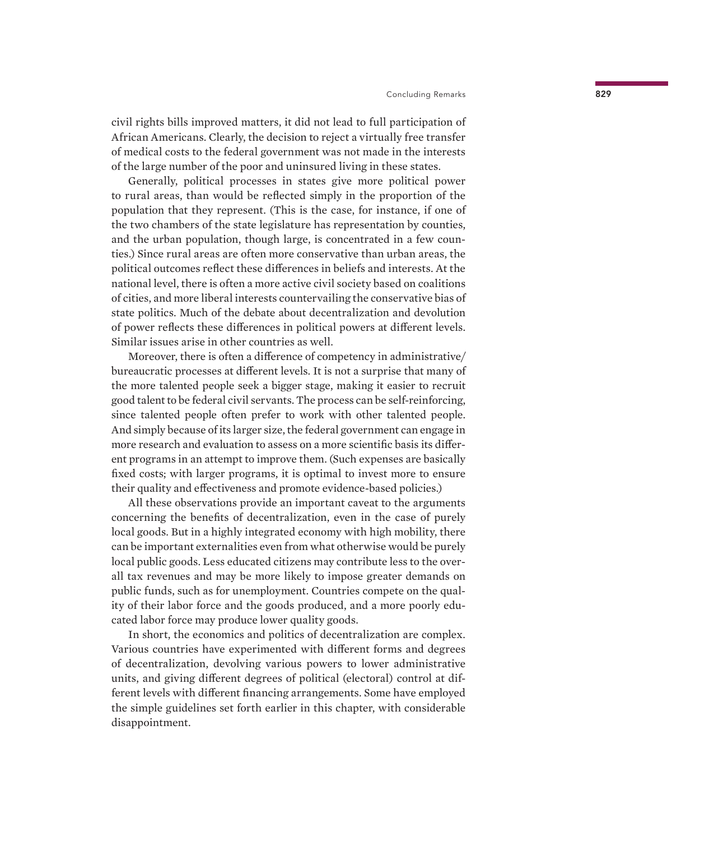civil rights bills improved matters, it did not lead to full participation of African Americans. Clearly, the decision to reject a virtually free transfer of medical costs to the federal government was not made in the interests of the large number of the poor and uninsured living in these states.

Generally, political processes in states give more political power to rural areas, than would be reflected simply in the proportion of the population that they represent. (This is the case, for instance, if one of the two chambers of the state legislature has representation by counties, and the urban population, though large, is concentrated in a few counties.) Since rural areas are often more conservative than urban areas, the political outcomes reflect these differences in beliefs and interests. At the national level, there is often a more active civil society based on coalitions of cities, and more liberal interests countervailing the conservative bias of state politics. Much of the debate about decentralization and devolution of power reflects these differences in political powers at different levels. Similar issues arise in other countries as well.

Moreover, there is often a difference of competency in administrative/ bureaucratic processes at different levels. It is not a surprise that many of the more talented people seek a bigger stage, making it easier to recruit good talent to be federal civil servants. The process can be self-reinforcing, since talented people often prefer to work with other talented people. And simply because of its larger size, the federal government can engage in more research and evaluation to assess on a more scientific basis its different programs in an attempt to improve them. (Such expenses are basically fixed costs; with larger programs, it is optimal to invest more to ensure their quality and effectiveness and promote evidence-based policies.)

All these observations provide an important caveat to the arguments concerning the benefits of decentralization, even in the case of purely local goods. But in a highly integrated economy with high mobility, there can be important externalities even from what otherwise would be purely local public goods. Less educated citizens may contribute less to the overall tax revenues and may be more likely to impose greater demands on public funds, such as for unemployment. Countries compete on the quality of their labor force and the goods produced, and a more poorly educated labor force may produce lower quality goods.

In short, the economics and politics of decentralization are complex. Various countries have experimented with different forms and degrees of decentralization, devolving various powers to lower administrative units, and giving different degrees of political (electoral) control at different levels with different financing arrangements. Some have employed the simple guidelines set forth earlier in this chapter, with considerable disappointment.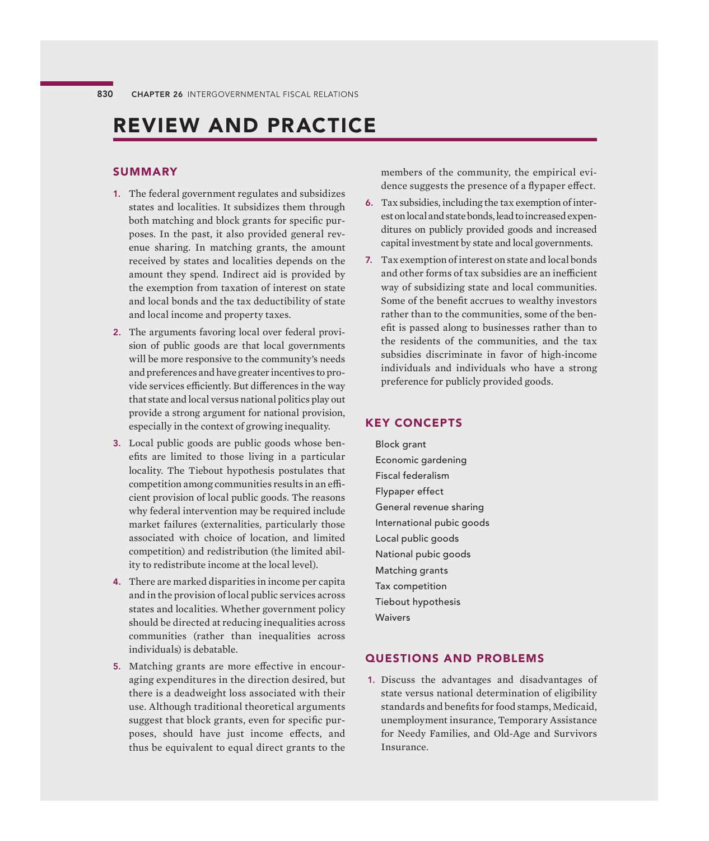# **REVIEW AND PRACTICE**

#### **SUMMARY**

- **1.** The federal government regulates and subsidizes states and localities. It subsidizes them through both matching and block grants for specific purposes. In the past, it also provided general revenue sharing. In matching grants, the amount received by states and localities depends on the amount they spend. Indirect aid is provided by the exemption from taxation of interest on state and local bonds and the tax deductibility of state and local income and property taxes.
- **2.** The arguments favoring local over federal provision of public goods are that local governments will be more responsive to the community's needs and preferences and have greater incentives to provide services efficiently. But differences in the way that state and local versus national politics play out provide a strong argument for national provision, especially in the context of growing inequality.
- **3.** Local public goods are public goods whose benefits are limited to those living in a particular locality. The Tiebout hypothesis postulates that competition among communities results in an effi cient provision of local public goods. The reasons why federal intervention may be required include market failures (externalities, particularly those associated with choice of location, and limited competition) and redistribution (the limited ability to redistribute income at the local level).
- **4.** There are marked disparities in income per capita and in the provision of local public services across states and localities. Whether government policy should be directed at reducing inequalities across communities (rather than inequalities across individuals) is debatable.
- **5.** Matching grants are more effective in encouraging expenditures in the direction desired, but there is a deadweight loss associated with their use. Although traditional theoretical arguments suggest that block grants, even for specific purposes, should have just income effects, and thus be equivalent to equal direct grants to the

members of the community, the empirical evidence suggests the presence of a flypaper effect.

- **6.** Tax subsidies, including the tax exemption of interest on local and state bonds, lead to increased expenditures on publicly provided goods and increased capital investment by state and local governments.
- **7.** Tax exemption of interest on state and local bonds and other forms of tax subsidies are an inefficient way of subsidizing state and local communities. Some of the benefit accrues to wealthy investors rather than to the communities, some of the benefit is passed along to businesses rather than to the residents of the communities, and the tax subsidies discriminate in favor of high-income individuals and individuals who have a strong preference for publicly provided goods.

#### **KEY CONCEPTS**

Block grant Economic gardening Fiscal federalism Flypaper effect General revenue sharing International pubic goods Local public goods National pubic goods Matching grants Tax competition Tiebout hypothesis Waivers

#### **QUESTIONS AND PROBLEMS**

**1.** Discuss the advantages and disadvantages of state versus national determination of eligibility standards and benefits for food stamps, Medicaid, unemployment insurance, Temporary Assistance for Needy Families, and Old-Age and Survivors Insurance.